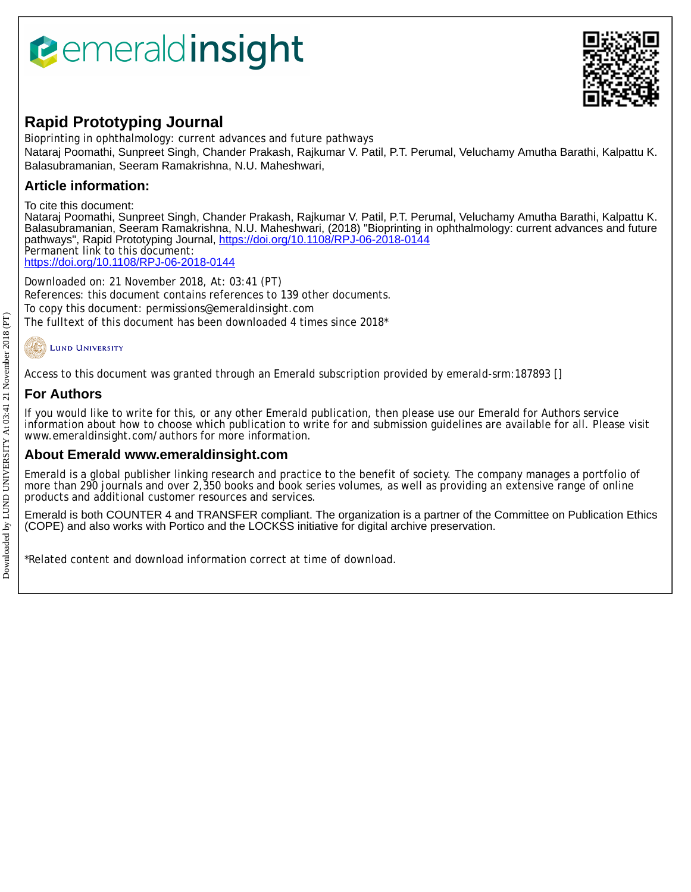# *<u><b>Pemeraldinsight</u>*



## **Rapid Prototyping Journal**

Bioprinting in ophthalmology: current advances and future pathways

Nataraj Poomathi, Sunpreet Singh, Chander Prakash, Rajkumar V. Patil, P.T. Perumal, Veluchamy Amutha Barathi, Kalpattu K. Balasubramanian, Seeram Ramakrishna, N.U. Maheshwari,

## **Article information:**

To cite this document:

Nataraj Poomathi, Sunpreet Singh, Chander Prakash, Rajkumar V. Patil, P.T. Perumal, Veluchamy Amutha Barathi, Kalpattu K. Balasubramanian, Seeram Ramakrishna, N.U. Maheshwari, (2018) "Bioprinting in ophthalmology: current advances and future pathways", Rapid Prototyping Journal,<https://doi.org/10.1108/RPJ-06-2018-0144> Permanent link to this document: <https://doi.org/10.1108/RPJ-06-2018-0144>

Downloaded on: 21 November 2018, At: 03:41 (PT)

References: this document contains references to 139 other documents. To copy this document: permissions@emeraldinsight.com The fulltext of this document has been downloaded 4 times since 2018\*

## **LUND UNIVERSITY**

Access to this document was granted through an Emerald subscription provided by emerald-srm:187893 []

## **For Authors**

If you would like to write for this, or any other Emerald publication, then please use our Emerald for Authors service information about how to choose which publication to write for and submission guidelines are available for all. Please visit www.emeraldinsight.com/authors for more information.

### **About Emerald www.emeraldinsight.com**

Emerald is a global publisher linking research and practice to the benefit of society. The company manages a portfolio of more than 290 journals and over 2,350 books and book series volumes, as well as providing an extensive range of online products and additional customer resources and services.

Emerald is both COUNTER 4 and TRANSFER compliant. The organization is a partner of the Committee on Publication Ethics (COPE) and also works with Portico and the LOCKSS initiative for digital archive preservation.

\*Related content and download information correct at time of download.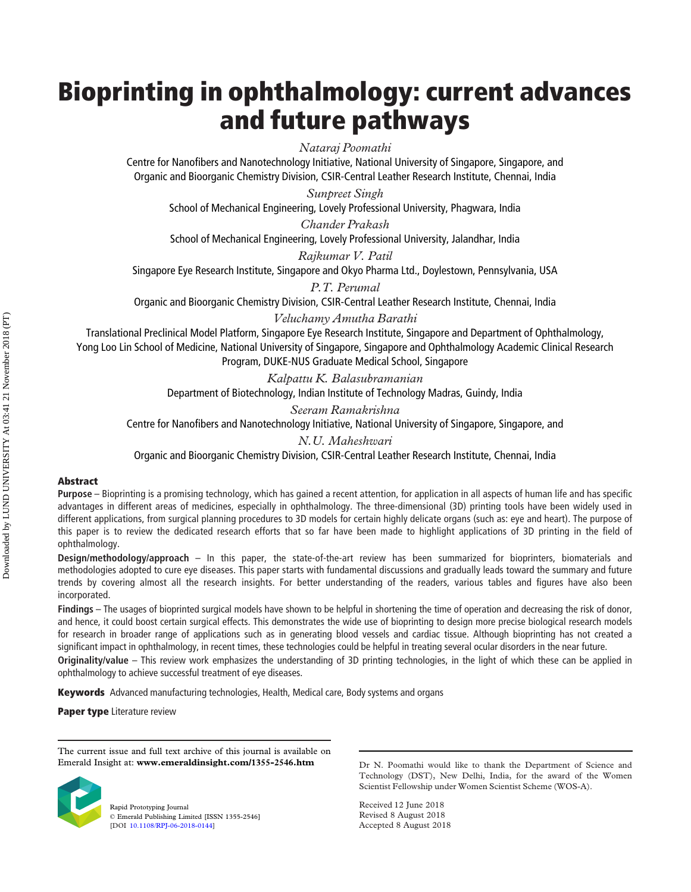## Bioprinting in ophthalmology: current advances and future pathways

Nataraj Poomathi

Centre for Nanofibers and Nanotechnology Initiative, National University of Singapore, Singapore, and Organic and Bioorganic Chemistry Division, CSIR-Central Leather Research Institute, Chennai, India

Sunpreet Singh

School of Mechanical Engineering, Lovely Professional University, Phagwara, India

Chander Prakash School of Mechanical Engineering, Lovely Professional University, Jalandhar, India

Rajkumar V. Patil Singapore Eye Research Institute, Singapore and Okyo Pharma Ltd., Doylestown, Pennsylvania, USA

P.T. Perumal

Organic and Bioorganic Chemistry Division, CSIR-Central Leather Research Institute, Chennai, India

Veluchamy Amutha Barathi

Translational Preclinical Model Platform, Singapore Eye Research Institute, Singapore and Department of Ophthalmology, Yong Loo Lin School of Medicine, National University of Singapore, Singapore and Ophthalmology Academic Clinical Research Program, DUKE-NUS Graduate Medical School, Singapore

> Kalpattu K. Balasubramanian Department of Biotechnology, Indian Institute of Technology Madras, Guindy, India

Seeram Ramakrishna Centre for Nanofibers and Nanotechnology Initiative, National University of Singapore, Singapore, and

N.U. Maheshwari

Organic and Bioorganic Chemistry Division, CSIR-Central Leather Research Institute, Chennai, India

#### Abstract

Purpose – Bioprinting is a promising technology, which has gained a recent attention, for application in all aspects of human life and has specific advantages in different areas of medicines, especially in ophthalmology. The three-dimensional (3D) printing tools have been widely used in different applications, from surgical planning procedures to 3D models for certain highly delicate organs (such as: eye and heart). The purpose of this paper is to review the dedicated research efforts that so far have been made to highlight applications of 3D printing in the field of ophthalmology.

Design/methodology/approach – In this paper, the state-of-the-art review has been summarized for bioprinters, biomaterials and methodologies adopted to cure eye diseases. This paper starts with fundamental discussions and gradually leads toward the summary and future trends by covering almost all the research insights. For better understanding of the readers, various tables and figures have also been incorporated.

Findings – The usages of bioprinted surgical models have shown to be helpful in shortening the time of operation and decreasing the risk of donor, and hence, it could boost certain surgical effects. This demonstrates the wide use of bioprinting to design more precise biological research models for research in broader range of applications such as in generating blood vessels and cardiac tissue. Although bioprinting has not created a significant impact in ophthalmology, in recent times, these technologies could be helpful in treating several ocular disorders in the near future.

Originality/value – This review work emphasizes the understanding of 3D printing technologies, in the light of which these can be applied in ophthalmology to achieve successful treatment of eye diseases.

**Keywords** Advanced manufacturing technologies, Health, Medical care, Body systems and organs

Paper type Literature review

The current issue and full text archive of this journal is available on Emerald Insight at: www.emeraldinsight.com/1355-2546.htm



Rapid Prototyping Journal © Emerald Publishing Limited [ISSN 1355-2546] [DOI [10.1108/RPJ-06-2018-0144\]](http://dx.doi.org/10.1108/RPJ-06-2018-0144)

Dr N. Poomathi would like to thank the Department of Science and Technology (DST), New Delhi, India, for the award of the Women Scientist Fellowship under Women Scientist Scheme (WOS-A).

Received 12 June 2018 Revised 8 August 2018 Accepted 8 August 2018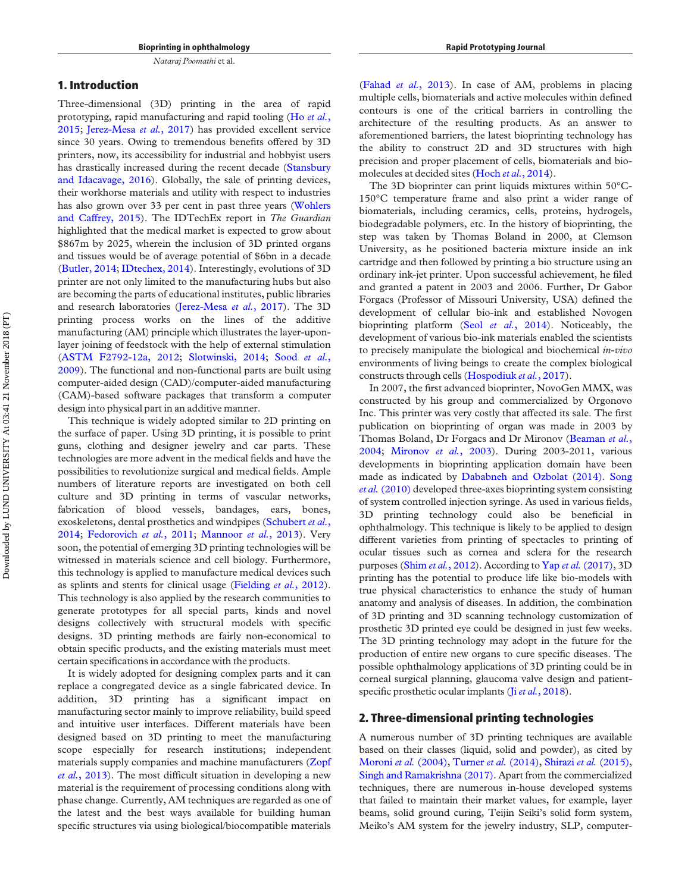#### 1. Introduction

Three-dimensional (3D) printing in the area of rapid prototyping, rapid manufacturing and rapid tooling (Ho [et al.](#page-16-0), [2015;](#page-16-0) [Jerez-Mesa](#page-16-1) et al., 2017) has provided excellent service since 30 years. Owing to tremendous benefits offered by 3D printers, now, its accessibility for industrial and hobbyist users has drastically increased during the recent decade [\(Stansbury](#page-18-0) [and Idacavage, 2016](#page-18-0)). Globally, the sale of printing devices, their workhorse materials and utility with respect to industries has also grown over 33 per cent in past three years ([Wohlers](#page-18-1) [and Caffrey, 2015](#page-18-1)). The IDTechEx report in The Guardian highlighted that the medical market is expected to grow about \$867m by 2025, wherein the inclusion of 3D printed organs and tissues would be of average potential of \$6bn in a decade [\(Butler, 2014;](#page-15-0) [IDtechex, 2014](#page-16-2)). Interestingly, evolutions of 3D printer are not only limited to the manufacturing hubs but also are becoming the parts of educational institutes, public libraries and research laboratories ([Jerez-Mesa](#page-16-1) et al., 2017). The 3D printing process works on the lines of the additive manufacturing (AM) principle which illustrates the layer-uponlayer joining of feedstock with the help of external stimulation [\(ASTM F2792-12a, 2012](#page-14-0); [Slotwinski, 2014](#page-18-2); Sood [et al.](#page-18-3), [2009\)](#page-18-3). The functional and non-functional parts are built using computer-aided design (CAD)/computer-aided manufacturing (CAM)-based software packages that transform a computer design into physical part in an additive manner.

This technique is widely adopted similar to 2D printing on the surface of paper. Using 3D printing, it is possible to print guns, clothing and designer jewelry and car parts. These technologies are more advent in the medical fields and have the possibilities to revolutionize surgical and medical fields. Ample numbers of literature reports are investigated on both cell culture and 3D printing in terms of vascular networks, fabrication of blood vessels, bandages, ears, bones, exoskeletons, dental prosthetics and windpipes ([Schubert](#page-17-0) et al., [2014;](#page-17-0) [Fedorovich](#page-15-1) et al., 2011; [Mannoor](#page-17-1) et al., 2013). Very soon, the potential of emerging 3D printing technologies will be witnessed in materials science and cell biology. Furthermore, this technology is applied to manufacture medical devices such as splints and stents for clinical usage [\(Fielding](#page-15-2) et al., 2012). This technology is also applied by the research communities to generate prototypes for all special parts, kinds and novel designs collectively with structural models with specific designs. 3D printing methods are fairly non-economical to obtain specific products, and the existing materials must meet certain specifications in accordance with the products.

It is widely adopted for designing complex parts and it can replace a congregated device as a single fabricated device. In addition, 3D printing has a significant impact on manufacturing sector mainly to improve reliability, build speed and intuitive user interfaces. Different materials have been designed based on 3D printing to meet the manufacturing scope especially for research institutions; independent materials supply companies and machine manufacturers [\(Zopf](#page-19-0) et al.[, 2013\)](#page-19-0). The most difficult situation in developing a new material is the requirement of processing conditions along with phase change. Currently, AM techniques are regarded as one of the latest and the best ways available for building human specific structures via using biological/biocompatible materials (Fahad et al.[, 2013](#page-15-3)). In case of AM, problems in placing multiple cells, biomaterials and active molecules within defined contours is one of the critical barriers in controlling the architecture of the resulting products. As an answer to aforementioned barriers, the latest bioprinting technology has the ability to construct 2D and 3D structures with high precision and proper placement of cells, biomaterials and bio-molecules at decided sites (Hoch et al.[, 2014\)](#page-16-3).

The 3D bioprinter can print liquids mixtures within 50°C-150°C temperature frame and also print a wider range of biomaterials, including ceramics, cells, proteins, hydrogels, biodegradable polymers, etc. In the history of bioprinting, the step was taken by Thomas Boland in 2000, at Clemson University, as he positioned bacteria mixture inside an ink cartridge and then followed by printing a bio structure using an ordinary ink-jet printer. Upon successful achievement, he filed and granted a patent in 2003 and 2006. Further, Dr Gabor Forgacs (Professor of Missouri University, USA) defined the development of cellular bio-ink and established Novogen bioprinting platform (Seol et al.[, 2014\)](#page-18-4). Noticeably, the development of various bio-ink materials enabled the scientists to precisely manipulate the biological and biochemical *in-vivo* environments of living beings to create the complex biological constructs through cells ([Hospodiuk](#page-16-4) et al., 2017).

In 2007, the first advanced bioprinter, NovoGen MMX, was constructed by his group and commercialized by Orgonovo Inc. This printer was very costly that affected its sale. The first publication on bioprinting of organ was made in 2003 by Thomas Boland, Dr Forgacs and Dr Mironov ([Beaman](#page-14-1) et al., [2004;](#page-14-1) [Mironov](#page-17-2) et al., 2003). During 2003-2011, various developments in bioprinting application domain have been made as indicated by [Dababneh and Ozbolat \(2014\).](#page-15-4) [Song](#page-18-5) et al. [\(2010\)](#page-18-5) developed three-axes bioprinting system consisting of system controlled injection syringe. As used in various fields, 3D printing technology could also be beneficial in ophthalmology. This technique is likely to be applied to design different varieties from printing of spectacles to printing of ocular tissues such as cornea and sclera for the research purposes (Shim et al.[, 2012\)](#page-18-6). According to Yap et al. [\(2017\)](#page-19-1), 3D printing has the potential to produce life like bio-models with true physical characteristics to enhance the study of human anatomy and analysis of diseases. In addition, the combination of 3D printing and 3D scanning technology customization of prosthetic 3D printed eye could be designed in just few weeks. The 3D printing technology may adopt in the future for the production of entire new organs to cure specific diseases. The possible ophthalmology applications of 3D printing could be in corneal surgical planning, glaucoma valve design and patient-specific prosthetic ocular implants (Ji et al.[, 2018\)](#page-16-5).

#### 2. Three-dimensional printing technologies

A numerous number of 3D printing techniques are available based on their classes (liquid, solid and powder), as cited by [Moroni](#page-17-3) et al. (2004), [Turner](#page-17-4) et al. (2014), [Shirazi](#page-18-7) et al. (2015), [Singh and Ramakrishna \(2017\).](#page-18-8) Apart from the commercialized techniques, there are numerous in-house developed systems that failed to maintain their market values, for example, layer beams, solid ground curing, Teijin Seiki's solid form system, Meiko's AM system for the jewelry industry, SLP, computer-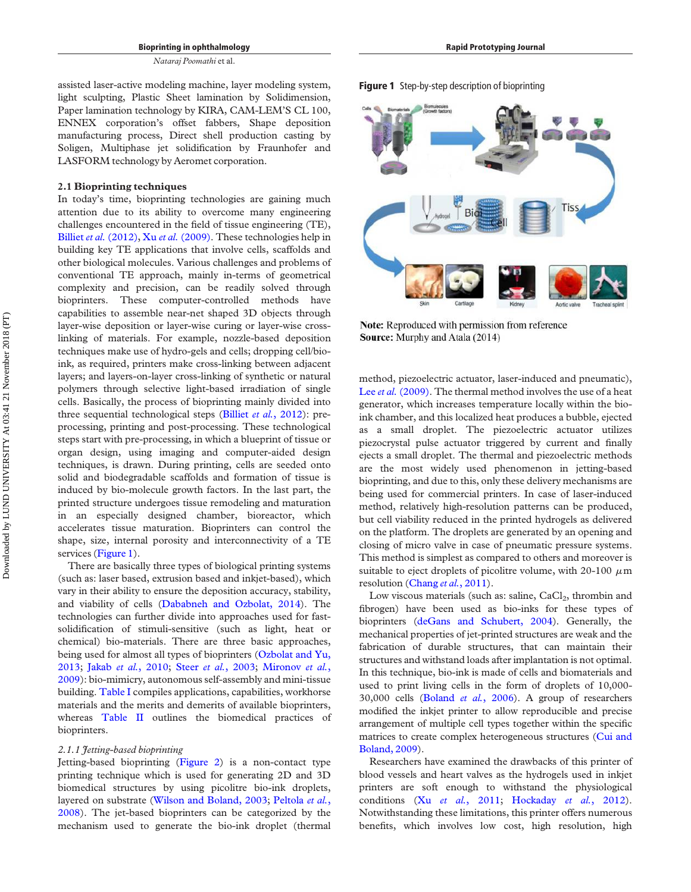assisted laser-active modeling machine, layer modeling system, light sculpting, Plastic Sheet lamination by Solidimension, Paper lamination technology by KIRA, CAM-LEM'S CL 100, ENNEX corporation's offset fabbers, Shape deposition manufacturing process, Direct shell production casting by Soligen, Multiphase jet solidification by Fraunhofer and LASFORM technology by Aeromet corporation.

#### 2.1 Bioprinting techniques

In today's time, bioprinting technologies are gaining much attention due to its ability to overcome many engineering challenges encountered in the field of tissue engineering (TE), Billiet et al. [\(2012\),](#page-15-5) Xu et al. [\(2009\).](#page-19-2) These technologies help in building key TE applications that involve cells, scaffolds and other biological molecules. Various challenges and problems of conventional TE approach, mainly in-terms of geometrical complexity and precision, can be readily solved through bioprinters. These computer-controlled methods have capabilities to assemble near-net shaped 3D objects through layer-wise deposition or layer-wise curing or layer-wise crosslinking of materials. For example, nozzle-based deposition techniques make use of hydro-gels and cells; dropping cell/bioink, as required, printers make cross-linking between adjacent layers; and layers-on-layer cross-linking of synthetic or natural polymers through selective light-based irradiation of single cells. Basically, the process of bioprinting mainly divided into three sequential technological steps (Billiet et al.[, 2012\)](#page-15-5): preprocessing, printing and post-processing. These technological steps start with pre-processing, in which a blueprint of tissue or organ design, using imaging and computer-aided design techniques, is drawn. During printing, cells are seeded onto solid and biodegradable scaffolds and formation of tissue is induced by bio-molecule growth factors. In the last part, the printed structure undergoes tissue remodeling and maturation in an especially designed chamber, bioreactor, which accelerates tissue maturation. Bioprinters can control the shape, size, internal porosity and interconnectivity of a TE services ([Figure 1\)](#page-3-0).

There are basically three types of biological printing systems (such as: laser based, extrusion based and inkjet-based), which vary in their ability to ensure the deposition accuracy, stability, and viability of cells ([Dababneh and Ozbolat, 2014](#page-15-4)). The technologies can further divide into approaches used for fastsolidification of stimuli-sensitive (such as light, heat or chemical) bio-materials. There are three basic approaches, being used for almost all types of bioprinters ([Ozbolat and Yu,](#page-17-5) [2013;](#page-17-5) Jakab et al.[, 2010;](#page-16-6) Steer et al.[, 2003](#page-18-9); [Mironov](#page-17-6) et al., [2009\)](#page-17-6): bio-mimicry, autonomous self-assembly and mini-tissue building. [Table I](#page-4-0) compiles applications, capabilities, workhorse materials and the merits and demerits of available bioprinters, whereas [Table II](#page-5-0) outlines the biomedical practices of bioprinters.

#### 2.1.1 Jetting-based bioprinting

Jetting-based bioprinting [\(Figure 2\)](#page-7-0) is a non-contact type printing technique which is used for generating 2D and 3D biomedical structures by using picolitre bio-ink droplets, layered on substrate [\(Wilson and Boland, 2003;](#page-18-10) [Peltola](#page-17-7) et al., [2008\)](#page-17-7). The jet-based bioprinters can be categorized by the mechanism used to generate the bio-ink droplet (thermal

<span id="page-3-0"></span>



Rapid Prototyping Journal

Note: Reproduced with permission from reference Source: Murphy and Atala (2014)

method, piezoelectric actuator, laser-induced and pneumatic), Lee et al. [\(2009\).](#page-16-7) The thermal method involves the use of a heat generator, which increases temperature locally within the bioink chamber, and this localized heat produces a bubble, ejected as a small droplet. The piezoelectric actuator utilizes piezocrystal pulse actuator triggered by current and finally ejects a small droplet. The thermal and piezoelectric methods are the most widely used phenomenon in jetting-based bioprinting, and due to this, only these delivery mechanisms are being used for commercial printers. In case of laser-induced method, relatively high-resolution patterns can be produced, but cell viability reduced in the printed hydrogels as delivered on the platform. The droplets are generated by an opening and closing of micro valve in case of pneumatic pressure systems. This method is simplest as compared to others and moreover is suitable to eject droplets of picolitre volume, with 20-100  $\mu$ m resolution ([Chang](#page-15-6) et al., 2011).

Low viscous materials (such as: saline,  $CaCl<sub>2</sub>$ , thrombin and fibrogen) have been used as bio-inks for these types of bioprinters [\(deGans and Schubert, 2004\)](#page-15-7). Generally, the mechanical properties of jet-printed structures are weak and the fabrication of durable structures, that can maintain their structures and withstand loads after implantation is not optimal. In this technique, bio-ink is made of cells and biomaterials and used to print living cells in the form of droplets of 10,000- 30,000 cells ([Boland](#page-15-8) et al., 2006). A group of researchers modified the inkjet printer to allow reproducible and precise arrangement of multiple cell types together within the specific matrices to create complex heterogeneous structures [\(Cui and](#page-15-9) [Boland, 2009](#page-15-9)).

Researchers have examined the drawbacks of this printer of blood vessels and heart valves as the hydrogels used in inkjet printers are soft enough to withstand the physiological conditions (Xu et al.[, 2011;](#page-19-3) [Hockaday](#page-16-8) et al., 2012). Notwithstanding these limitations, this printer offers numerous benefits, which involves low cost, high resolution, high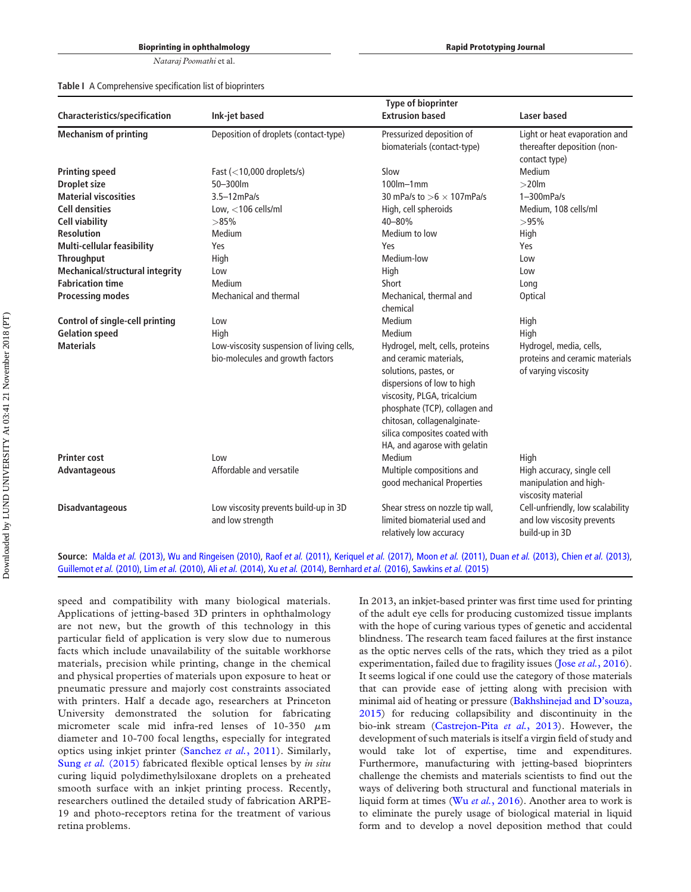<span id="page-4-0"></span>Table I A Comprehensive specification list of bioprinters

| Characteristics/specification           | Ink-jet based                                                                        | <b>Type of bioprinter</b><br><b>Extrusion based</b>                                                                                                                                                                                                                                        | Laser based                                                                               |
|-----------------------------------------|--------------------------------------------------------------------------------------|--------------------------------------------------------------------------------------------------------------------------------------------------------------------------------------------------------------------------------------------------------------------------------------------|-------------------------------------------------------------------------------------------|
| <b>Mechanism of printing</b>            | Deposition of droplets (contact-type)                                                | Pressurized deposition of                                                                                                                                                                                                                                                                  | Light or heat evaporation and                                                             |
|                                         |                                                                                      | biomaterials (contact-type)                                                                                                                                                                                                                                                                | thereafter deposition (non-<br>contact type)                                              |
| <b>Printing speed</b>                   | Fast $\left($ < 10,000 droplets/s)                                                   | Slow                                                                                                                                                                                                                                                                                       | Medium                                                                                    |
| <b>Droplet size</b>                     | 50-300lm                                                                             | $100$ lm $-1$ mm                                                                                                                                                                                                                                                                           | $>20$ lm                                                                                  |
| <b>Material viscosities</b>             | $3.5 - 12$ mPa/s                                                                     | 30 mPa/s to $>6 \times 107$ mPa/s                                                                                                                                                                                                                                                          | $1 - 300$ m $Pa/s$                                                                        |
| <b>Cell densities</b>                   | Low, $<$ 106 cells/ml                                                                | High, cell spheroids                                                                                                                                                                                                                                                                       | Medium, 108 cells/ml                                                                      |
| <b>Cell viability</b>                   | >85%                                                                                 | 40-80%                                                                                                                                                                                                                                                                                     | >95%                                                                                      |
| <b>Resolution</b>                       | Medium                                                                               | Medium to low                                                                                                                                                                                                                                                                              | High                                                                                      |
| <b>Multi-cellular feasibility</b>       | Yes                                                                                  | Yes                                                                                                                                                                                                                                                                                        | Yes                                                                                       |
| <b>Throughput</b>                       | High                                                                                 | Medium-low                                                                                                                                                                                                                                                                                 | Low                                                                                       |
| <b>Mechanical/structural integrity</b>  | Low                                                                                  | High                                                                                                                                                                                                                                                                                       | Low                                                                                       |
| <b>Fabrication time</b>                 | Medium                                                                               | Short                                                                                                                                                                                                                                                                                      | Long                                                                                      |
| <b>Processing modes</b>                 | Mechanical and thermal                                                               | Mechanical, thermal and<br>chemical                                                                                                                                                                                                                                                        | Optical                                                                                   |
| <b>Control of single-cell printing</b>  | Low                                                                                  | Medium                                                                                                                                                                                                                                                                                     | High                                                                                      |
| <b>Gelation speed</b>                   | High                                                                                 | Medium                                                                                                                                                                                                                                                                                     | High                                                                                      |
| <b>Materials</b><br><b>Printer cost</b> | Low-viscosity suspension of living cells,<br>bio-molecules and growth factors<br>Low | Hydrogel, melt, cells, proteins<br>and ceramic materials.<br>solutions, pastes, or<br>dispersions of low to high<br>viscosity, PLGA, tricalcium<br>phosphate (TCP), collagen and<br>chitosan, collagenalginate-<br>silica composites coated with<br>HA, and agarose with gelatin<br>Medium | Hydrogel, media, cells,<br>proteins and ceramic materials<br>of varying viscosity<br>High |
| Advantageous                            | Affordable and versatile                                                             | Multiple compositions and<br>good mechanical Properties                                                                                                                                                                                                                                    | High accuracy, single cell<br>manipulation and high-<br>viscosity material                |
| <b>Disadvantageous</b>                  | Low viscosity prevents build-up in 3D<br>and low strength                            | Shear stress on nozzle tip wall,<br>limited biomaterial used and<br>relatively low accuracy                                                                                                                                                                                                | Cell-unfriendly, low scalability<br>and low viscosity prevents<br>build-up in 3D          |

Source: Malda et al. [\(2013\)](#page-15-11), [Wu and Ringeisen \(2010\)](#page-18-13), Raof et al. [\(2011\),](#page-17-10) [Keriquel](#page-16-10) et al. (2017), Moon et al. [\(2011\)](#page-17-11), Duan et al. [\(2013\),](#page-15-12) Chien et al. (2013), [Guillemot](#page-15-13) et al. (2010), Lim et al. [\(2010\)](#page-16-11), Ali et al. [\(2014\),](#page-14-3) Xu et al. [\(2014\)](#page-18-14), [Bernhard](#page-14-4) et al. (2016), [Sawkins](#page-17-12) et al. (2015)

speed and compatibility with many biological materials. Applications of jetting-based 3D printers in ophthalmology are not new, but the growth of this technology in this particular field of application is very slow due to numerous facts which include unavailability of the suitable workhorse materials, precision while printing, change in the chemical and physical properties of materials upon exposure to heat or pneumatic pressure and majorly cost constraints associated with printers. Half a decade ago, researchers at Princeton University demonstrated the solution for fabricating micrometer scale mid infra-red lenses of  $10-350 \mu m$ diameter and 10-700 focal lengths, especially for integrated optics using inkjet printer [\(Sanchez](#page-17-8) et al., 2011). Similarly, Sung et al. [\(2015\)](#page-18-11) fabricated flexible optical lenses by in situ curing liquid polydimethylsiloxane droplets on a preheated smooth surface with an inkjet printing process. Recently, researchers outlined the detailed study of fabrication ARPE-19 and photo-receptors retina for the treatment of various retina problems.

In 2013, an inkjet-based printer was first time used for printing of the adult eye cells for producing customized tissue implants with the hope of curing various types of genetic and accidental blindness. The research team faced failures at the first instance as the optic nerves cells of the rats, which they tried as a pilot experimentation, failed due to fragility issues (Jose et al.[, 2016\)](#page-16-9). It seems logical if one could use the category of those materials that can provide ease of jetting along with precision with minimal aid of heating or pressure [\(Bakhshinejad and D](#page-14-2)'souza, [2015\)](#page-14-2) for reducing collapsibility and discontinuity in the bio-ink stream ([Castrejon-Pita](#page-15-10) et al., 2013). However, the development of such materials is itself a virgin field of study and would take lot of expertise, time and expenditures. Furthermore, manufacturing with jetting-based bioprinters challenge the chemists and materials scientists to find out the ways of delivering both structural and functional materials in liquid form at times (Wu et al.[, 2016\)](#page-18-12). Another area to work is to eliminate the purely usage of biological material in liquid form and to develop a novel deposition method that could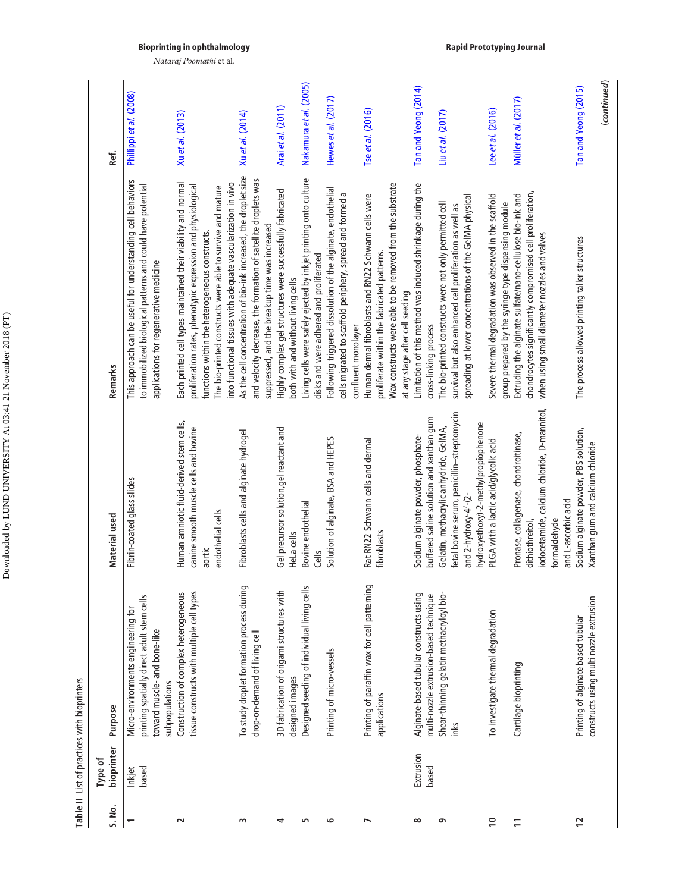| i                        |
|--------------------------|
|                          |
|                          |
|                          |
| l                        |
| I                        |
|                          |
| l                        |
|                          |
|                          |
|                          |
|                          |
|                          |
|                          |
| <br> <br> <br> <br> <br> |
| ı                        |
| I                        |
|                          |
|                          |
| ı                        |
|                          |
|                          |
|                          |
|                          |
|                          |
|                          |
|                          |
|                          |
|                          |
|                          |
|                          |
|                          |

Table II List of practices with bioprinters Table II List of practices with bioprinters

<span id="page-5-0"></span>

|                | Type of            |                                                                                                                                    |                                                                                                                                                                  |                                                                                                                                                                                                                                                                                                                |                                          |
|----------------|--------------------|------------------------------------------------------------------------------------------------------------------------------------|------------------------------------------------------------------------------------------------------------------------------------------------------------------|----------------------------------------------------------------------------------------------------------------------------------------------------------------------------------------------------------------------------------------------------------------------------------------------------------------|------------------------------------------|
| S. No.         | bioprinter         | Purpose                                                                                                                            | Material used                                                                                                                                                    | Remarks                                                                                                                                                                                                                                                                                                        | Ref.                                     |
|                | based<br>Inkjet    | printing spatially direct adult stem cells<br>Micro-environments engineering for<br>toward muscle- and bone-like<br>subpopulations | Fibrin-coated glass slides                                                                                                                                       | This approach can be useful for understanding cell behaviors<br>to immobilized biological patterns and could have potential<br>applications for regenerative medicine                                                                                                                                          | Phillippi et al. (2008)                  |
| $\sim$         |                    | tissue constructs with multiple cell types<br>Construction of complex heterogeneous                                                | Human amniotic fluid-derived stem cells,<br>canine smooth muscle cells and bovine<br>endothelial cells<br>aortic                                                 | Each printed cell types maintained their viability and normal<br>into functional tissues with adequate vascularization in vivo<br>proliferation rates, phenotypic expression and physiological<br>The bio-printed constructs were able to survive and mature<br>functions within the heterogeneous constructs. | Xuetal. (2013)                           |
| S              |                    | To study droplet formation process during<br>drop-on-demand of living cell                                                         | Fibroblasts cells and alginate hydrogel                                                                                                                          | As the cell concentration of bio-ink increased, the droplet size<br>and velocity decrease, the formation of satellite droplets was<br>suppressed, and the breakup time was increased                                                                                                                           | Xuetal. (2014)                           |
| 4              |                    | 3D fabrication of origami structures with<br>designed images                                                                       | Gel precursor solution, gel reactant and<br>HeLa cells                                                                                                           | Highly complex gel structures were successfully fabricated<br>both with and without living cells                                                                                                                                                                                                               | Arai et al. (2011)                       |
| 5              |                    | Designed seeding of individual living cells                                                                                        | Bovine endothelial<br>Cells                                                                                                                                      | Living cells were safely ejected by inkjet printing onto culture<br>disks and were adhered and proliferated                                                                                                                                                                                                    | Nakamura et al. (2005)                   |
| G              |                    | Printing of micro-vessels                                                                                                          | Solution of alginate, BSA and HEPES                                                                                                                              | Following triggered dissolution of the alginate, endothelial<br>cells migrated to scaffold periphery, spread and formed a<br>confluent monolayer                                                                                                                                                               | Hewes et al. (2017)                      |
| r              |                    | Printing of paraffin wax for cell patterning<br>applications                                                                       | Rat RN22 Schwann cells and dermal<br>fibroblasts                                                                                                                 | Wax constructs were able to be removed from the substrate<br>Human dermal fibroblasts and RN22 Schwann cells were<br>proliferate within the fabricated patterns.<br>at any stage after cell seeding                                                                                                            | Tse et al. (2016)                        |
| $\infty$       | Extrusion<br>based | Alginate-based tubular constructs using<br>multi-nozzle extrusion-based technique                                                  | buffered saline solution and xanthan gum<br>Sodium alginate powder, phosphate-                                                                                   | Limitation of this method was induced shrinkage during the<br>The bio-printed constructs were not only permitted cell<br>cross-linking process                                                                                                                                                                 | Tan and Yeong (2014)<br>Liuet al. (2017) |
| თ              |                    | Shear-thinning gelatin methacryloyl bio-<br>inks                                                                                   | fetal bovine serum, penicillin-streptomycin<br>hydroxyethoxy)-2-methylpropiophenone<br>Gelatin, methacrylic anhydride, GelMA,<br>and $2$ -hydroxy- $4'$ - $(2$ - | spreading at lower concentrations of the GeIMA physical<br>survival but also enhanced cell proliferation as well as                                                                                                                                                                                            |                                          |
| $\overline{1}$ |                    | To investigate thermal degradation                                                                                                 | PLGA with a lactic acid/glycolic acid                                                                                                                            | Severe thermal degradation was observed in the scaffold<br>group prepared by the syringe type dispensing module                                                                                                                                                                                                | Lee et al. (2016)                        |
|                |                    | Cartilage bioprinting                                                                                                              | iodocetamide, calcium chloride, D-mannitol,<br>Pronase, collagenase, chondroitinase,<br>formaldehyde<br>dithiothreitol,                                          | chondrocytes significantly compromised cell proliferation,<br>Extruding the alginate sulfate/nano-cellulose bio-ink and<br>when using small diameter nozzles and valves                                                                                                                                        | Müller et al. (2017)                     |
| $\overline{1}$ |                    | constructs using multi nozzle extrusion<br>Printing of alginate based tubular                                                      | Sodium alginate powder, PBS solution,<br>Xanthan gum and calcium chloride<br>and L-ascorbic acid                                                                 | The process allowed printing taller structures                                                                                                                                                                                                                                                                 | (continued)<br>Tan and Yeong (2015)      |

Bioprinting in ophthalmology Nataraj Poomathi et al.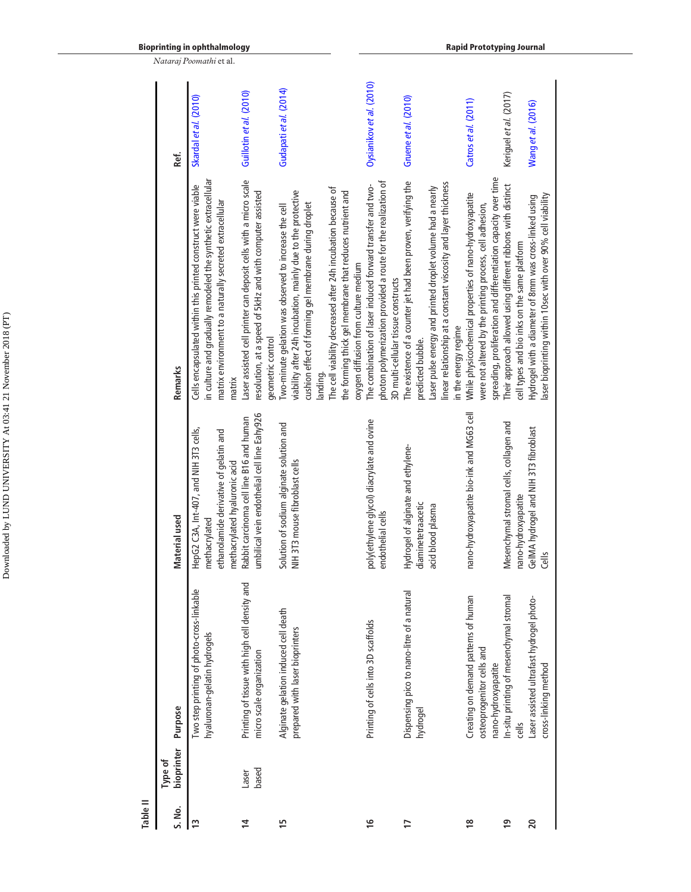| bioprinter<br>Type of | Purpose                                                                                  | Material used                                                                                                                      | Remarks                                                                                                                                                                                                                                                                                                                                                        | Ref.                     |
|-----------------------|------------------------------------------------------------------------------------------|------------------------------------------------------------------------------------------------------------------------------------|----------------------------------------------------------------------------------------------------------------------------------------------------------------------------------------------------------------------------------------------------------------------------------------------------------------------------------------------------------------|--------------------------|
|                       | Iwo step printing of photo-cross-linkable<br>hyaluronan-gelatin hydrogels                | HepG2 C3A, Int-407, and NIH 3T3 cells,<br>ethanolamide derivative of gelatin and<br>methacrylated hyaluronic acid<br>methacrylated | in culture and gradually remodeled the synthetic extracellular<br>Cells encapsulated within this printed construct were viable<br>matrix environment to a naturally secreted extracellular<br>matrix                                                                                                                                                           | Skardal et al. (2010)    |
|                       | Printing of tissue with high cell density and<br>micro scale organization                | umbilical vein endothelial cell line Eahy926<br>Rabbit carcinoma cell line B16 and human                                           | Laser assisted cell printer can deposit cells with a micro scale<br>resolution, at a speed of 5kHz and with computer assisted<br>geometric control                                                                                                                                                                                                             | Guillotin et al. (2010)  |
|                       | Alginate gelation induced cell death<br>prepared with laser bioprinters                  | Solution of sodium alginate solution and<br>NIH 3T3 mouse fibroblast cells                                                         | The cell viability decreased after 24h incubation because of<br>viability after 24h incubation, mainly due to the protective<br>the forming thick gel membrane that reduces nutrient and<br>cushion effect of forming gel membrane during droplet<br>Two-minute gelation was observed to increase the cell<br>oxygen diffusion from culture medium<br>landing. | Gudapati et al. (2014)   |
|                       | Printing of cells into 3D scaffolds                                                      | poly(ethylene glycol) diacrylate and ovine<br>endothelial cells                                                                    | photon polymerization provided a route for the realization of<br>The combination of laser induced forward transfer and two-<br>3D multi-cellular tissue constructs                                                                                                                                                                                             | Oysianikov et al. (2010) |
|                       | Dispensing pico to nano-litre of a natural<br>hydrogel                                   | Hydrogel of alginate and ethylene-<br>diaminetetraacetic<br>acid blood plasma                                                      | The existence of a counter jet had been proven, verifying the<br>linear relationship at a constant viscosity and layer thickness<br>Laser pulse energy and printed droplet volume had a nearly<br>in the energy regime<br>predicted bubble.                                                                                                                    | Gruene et al. (2010)     |
|                       | Creating on demand patterns of human<br>osteoprogenitor cells and<br>nano-hydroxyapatite | nano-hydroxyapatite bio-ink and MG63 cell                                                                                          | spreading, proliferation and differentiation capacity over time<br>While physicochemical properties of nano-hydroxyapatite<br>were not altered by the printing process, cell adhesion,                                                                                                                                                                         | Catros et al. (2011)     |
|                       | In-situ printing of mesenchymal stromal<br>cells                                         | Mesenchymal stromal cells, collagen and<br>nano-hydroxyapatite                                                                     | Their approach allowed using different ribbons with distinct<br>cell types and bio inks on the same platform                                                                                                                                                                                                                                                   | Keriguel et al. (2017)   |
|                       | Laser assisted ultrafast hydrogel photo-<br>cross-linking method                         | GeIMA hydrogel and NIH 3T3 fibroblast<br>Gells                                                                                     | aser bioprinting within 10sec with over 90% cell viability<br>Hydrogel with a diameter of 8mm was cross-linked using                                                                                                                                                                                                                                           | Wang et al. (2016)       |

Bioprinting in ophthalmology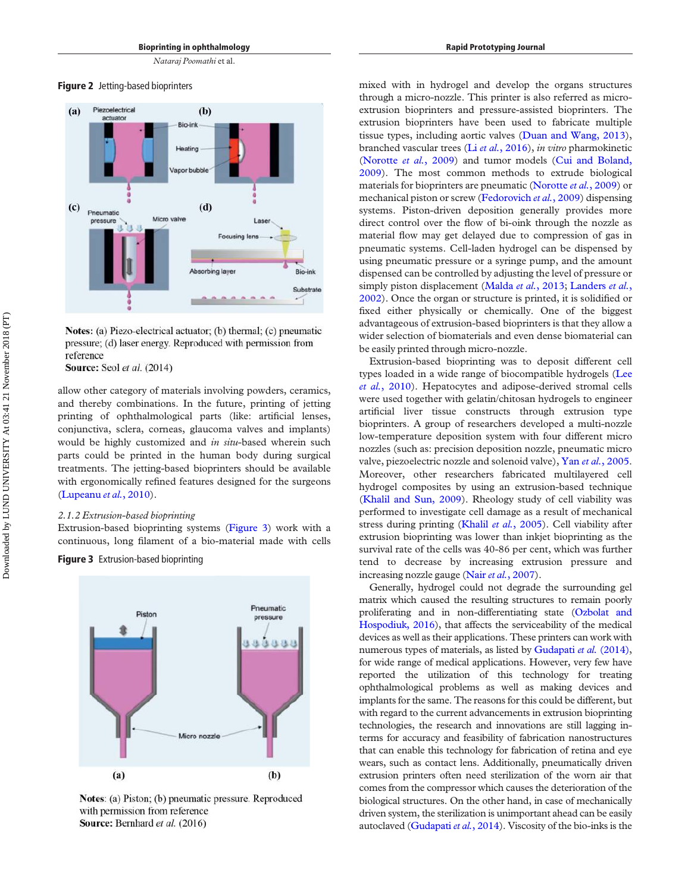<span id="page-7-0"></span>Figure 2 Jetting-based bioprinters



Notes: (a) Piezo-electrical actuator; (b) thermal; (c) pneumatic pressure; (d) laser energy. Reproduced with permission from reference

Source: Seol et al. (2014)

allow other category of materials involving powders, ceramics, and thereby combinations. In the future, printing of jetting printing of ophthalmological parts (like: artificial lenses, conjunctiva, sclera, corneas, glaucoma valves and implants) would be highly customized and in situ-based wherein such parts could be printed in the human body during surgical treatments. The jetting-based bioprinters should be available with ergonomically refined features designed for the surgeons [\(Lupeanu](#page-17-17) et al., 2010).

#### 2.1.2 Extrusion-based bioprinting

Extrusion-based bioprinting systems [\(Figure 3](#page-7-1)) work with a continuous, long filament of a bio-material made with cells

<span id="page-7-1"></span>**Figure 3** Extrusion-based bioprinting



Notes: (a) Piston; (b) pneumatic pressure. Reproduced with permission from reference Source: Bernhard et al. (2016)

mixed with in hydrogel and develop the organs structures through a micro-nozzle. This printer is also referred as microextrusion bioprinters and pressure-assisted bioprinters. The extrusion bioprinters have been used to fabricate multiple tissue types, including aortic valves [\(Duan and Wang, 2013\)](#page-15-17), branched vascular trees (Li et al.[, 2016\)](#page-16-16), in vitro pharmokinetic [\(Norotte](#page-17-18) et al., 2009) and tumor models [\(Cui and Boland,](#page-15-9) [2009\)](#page-15-9). The most common methods to extrude biological materials for bioprinters are pneumatic [\(Norotte](#page-17-18) et al., 2009) or mechanical piston or screw ([Fedorovich](#page-15-18) et al., 2009) dispensing systems. Piston-driven deposition generally provides more direct control over the flow of bi-oink through the nozzle as material flow may get delayed due to compression of gas in pneumatic systems. Cell-laden hydrogel can be dispensed by using pneumatic pressure or a syringe pump, and the amount dispensed can be controlled by adjusting the level of pressure or simply piston displacement ([Malda](#page-17-9) et al., 2013; [Landers](#page-16-17) et al., [2002\)](#page-16-17). Once the organ or structure is printed, it is solidified or fixed either physically or chemically. One of the biggest advantageous of extrusion-based bioprinters is that they allow a wider selection of biomaterials and even dense biomaterial can be easily printed through micro-nozzle.

Extrusion-based bioprinting was to deposit different cell types loaded in a wide range of biocompatible hydrogels ([Lee](#page-16-18) et al.[, 2010\)](#page-16-18). Hepatocytes and adipose-derived stromal cells were used together with gelatin/chitosan hydrogels to engineer artificial liver tissue constructs through extrusion type bioprinters. A group of researchers developed a multi-nozzle low-temperature deposition system with four different micro nozzles (such as: precision deposition nozzle, pneumatic micro valve, piezoelectric nozzle and solenoid valve), Yan et al.[, 2005](#page-19-5). Moreover, other researchers fabricated multilayered cell hydrogel composites by using an extrusion-based technique [\(Khalil and Sun, 2009](#page-16-19)). Rheology study of cell viability was performed to investigate cell damage as a result of mechanical stress during printing (Khalil et al.[, 2005](#page-16-20)). Cell viability after extrusion bioprinting was lower than inkjet bioprinting as the survival rate of the cells was 40-86 per cent, which was further tend to decrease by increasing extrusion pressure and increasing nozzle gauge (Nair et al.[, 2007](#page-17-19)).

Generally, hydrogel could not degrade the surrounding gel matrix which caused the resulting structures to remain poorly proliferating and in non-differentiating state [\(Ozbolat and](#page-17-20) [Hospodiuk, 2016\)](#page-17-20), that affects the serviceability of the medical devices as well as their applications. These printers can work with numerous types of materials, as listed by [Gudapati](#page-15-14) et al. (2014), for wide range of medical applications. However, very few have reported the utilization of this technology for treating ophthalmological problems as well as making devices and implants for the same. The reasons for this could be different, but with regard to the current advancements in extrusion bioprinting technologies, the research and innovations are still lagging interms for accuracy and feasibility of fabrication nanostructures that can enable this technology for fabrication of retina and eye wears, such as contact lens. Additionally, pneumatically driven extrusion printers often need sterilization of the worn air that comes from the compressor which causes the deterioration of the biological structures. On the other hand, in case of mechanically driven system, the sterilization is unimportant ahead can be easily autoclaved ([Gudapati](#page-15-14) et al., 2014). Viscosity of the bio-inks is the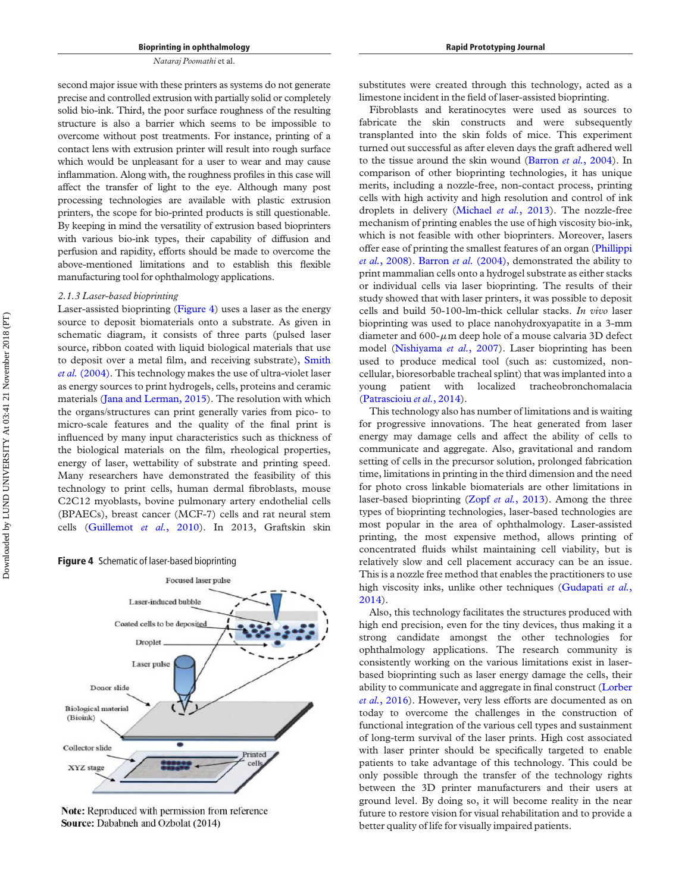second major issue with these printers as systems do not generate precise and controlled extrusion with partially solid or completely solid bio-ink. Third, the poor surface roughness of the resulting structure is also a barrier which seems to be impossible to overcome without post treatments. For instance, printing of a contact lens with extrusion printer will result into rough surface which would be unpleasant for a user to wear and may cause inflammation. Along with, the roughness profiles in this case will affect the transfer of light to the eye. Although many post processing technologies are available with plastic extrusion printers, the scope for bio-printed products is still questionable. By keeping in mind the versatility of extrusion based bioprinters with various bio-ink types, their capability of diffusion and perfusion and rapidity, efforts should be made to overcome the above-mentioned limitations and to establish this flexible manufacturing tool for ophthalmology applications.

#### 2.1.3 Laser-based bioprinting

Laser-assisted bioprinting ([Figure 4](#page-8-0)) uses a laser as the energy source to deposit biomaterials onto a substrate. As given in schematic diagram, it consists of three parts (pulsed laser source, ribbon coated with liquid biological materials that use to deposit over a metal film, and receiving substrate), [Smith](#page-18-20) et al. [\(2004\)](#page-18-20). This technology makes the use of ultra-violet laser as energy sources to print hydrogels, cells, proteins and ceramic materials ([Jana and Lerman, 2015](#page-16-21)). The resolution with which the organs/structures can print generally varies from pico- to micro-scale features and the quality of the final print is influenced by many input characteristics such as thickness of the biological materials on the film, rheological properties, energy of laser, wettability of substrate and printing speed. Many researchers have demonstrated the feasibility of this technology to print cells, human dermal fibroblasts, mouse C2C12 myoblasts, bovine pulmonary artery endothelial cells (BPAECs), breast cancer (MCF-7) cells and rat neural stem cells [\(Guillemot](#page-15-13) et al., 2010). In 2013, Graftskin skin

#### <span id="page-8-0"></span>Figure 4 Schematic of laser-based bioprinting



Note: Reproduced with permission from reference Source: Dababneh and Ozbolat (2014)

substitutes were created through this technology, acted as a limestone incident in the field of laser-assisted bioprinting.

Fibroblasts and keratinocytes were used as sources to fabricate the skin constructs and were subsequently transplanted into the skin folds of mice. This experiment turned out successful as after eleven days the graft adhered well to the tissue around the skin wound [\(Barron](#page-14-6) et al., 2004). In comparison of other bioprinting technologies, it has unique merits, including a nozzle-free, non-contact process, printing cells with high activity and high resolution and control of ink droplets in delivery ([Michael](#page-17-21) et al., 2013). The nozzle-free mechanism of printing enables the use of high viscosity bio-ink, which is not feasible with other bioprinters. Moreover, lasers offer ease of printing the smallest features of an organ [\(Phillippi](#page-17-13) et al.[, 2008\)](#page-17-13). [Barron](#page-14-6) et al. (2004), demonstrated the ability to print mammalian cells onto a hydrogel substrate as either stacks or individual cells via laser bioprinting. The results of their study showed that with laser printers, it was possible to deposit cells and build 50-100-lm-thick cellular stacks. In vivo laser bioprinting was used to place nanohydroxyapatite in a 3-mm diameter and 600- $\mu$ m deep hole of a mouse calvaria 3D defect model ([Nishiyama](#page-17-22) et al., 2007). Laser bioprinting has been used to produce medical tool (such as: customized, noncellular, bioresorbable tracheal splint) that was implanted into a young patient with localized tracheobronchomalacia [\(Patrascioiu](#page-17-23) et al., 2014).

This technology also has number of limitations and is waiting for progressive innovations. The heat generated from laser energy may damage cells and affect the ability of cells to communicate and aggregate. Also, gravitational and random setting of cells in the precursor solution, prolonged fabrication time, limitations in printing in the third dimension and the need for photo cross linkable biomaterials are other limitations in laser-based bioprinting (Zopf et al.[, 2013\)](#page-19-0). Among the three types of bioprinting technologies, laser-based technologies are most popular in the area of ophthalmology. Laser-assisted printing, the most expensive method, allows printing of concentrated fluids whilst maintaining cell viability, but is relatively slow and cell placement accuracy can be an issue. This is a nozzle free method that enables the practitioners to use high viscosity inks, unlike other techniques ([Gudapati](#page-15-14) et al., [2014\)](#page-15-14).

Also, this technology facilitates the structures produced with high end precision, even for the tiny devices, thus making it a strong candidate amongst the other technologies for ophthalmology applications. The research community is consistently working on the various limitations exist in laserbased bioprinting such as laser energy damage the cells, their ability to communicate and aggregate in final construct [\(Lorber](#page-16-22) et al.[, 2016](#page-16-22)). However, very less efforts are documented as on today to overcome the challenges in the construction of functional integration of the various cell types and sustainment of long-term survival of the laser prints. High cost associated with laser printer should be specifically targeted to enable patients to take advantage of this technology. This could be only possible through the transfer of the technology rights between the 3D printer manufacturers and their users at ground level. By doing so, it will become reality in the near future to restore vision for visual rehabilitation and to provide a better quality of life for visually impaired patients.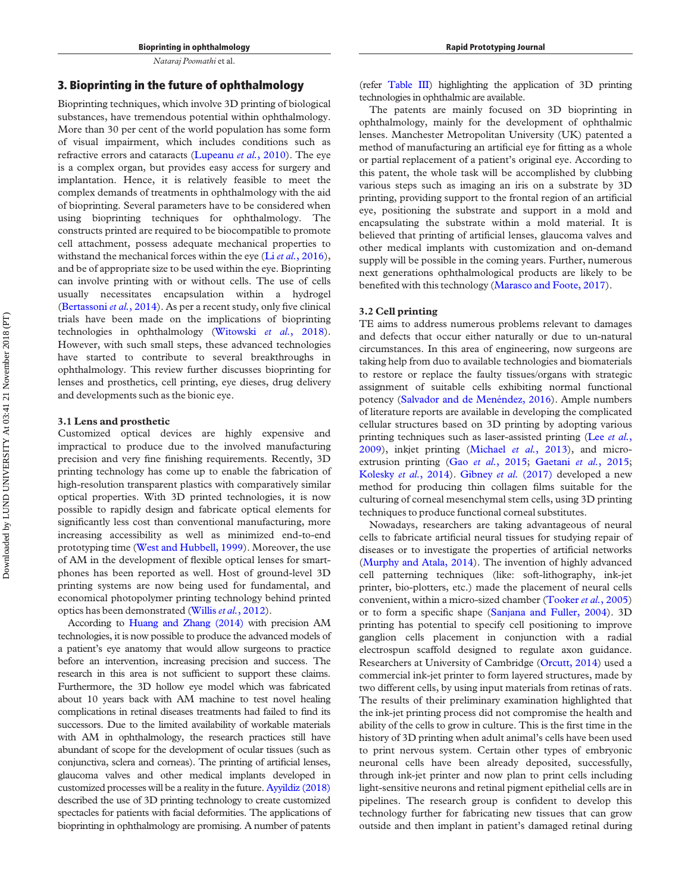#### 3. Bioprinting in the future of ophthalmology

Bioprinting techniques, which involve 3D printing of biological substances, have tremendous potential within ophthalmology. More than 30 per cent of the world population has some form of visual impairment, which includes conditions such as refractive errors and cataracts ([Lupeanu](#page-17-17) et al., 2010). The eye is a complex organ, but provides easy access for surgery and implantation. Hence, it is relatively feasible to meet the complex demands of treatments in ophthalmology with the aid of bioprinting. Several parameters have to be considered when using bioprinting techniques for ophthalmology. The constructs printed are required to be biocompatible to promote cell attachment, possess adequate mechanical properties to withstand the mechanical forces within the eye ( $Li$  *et al.*[, 2016\)](#page-16-16), and be of appropriate size to be used within the eye. Bioprinting can involve printing with or without cells. The use of cells usually necessitates encapsulation within a hydrogel [\(Bertassoni](#page-15-19) et al., 2014). As per a recent study, only five clinical trials have been made on the implications of bioprinting technologies in ophthalmology [\(Witowski](#page-18-21) et al., 2018). However, with such small steps, these advanced technologies have started to contribute to several breakthroughs in ophthalmology. This review further discusses bioprinting for lenses and prosthetics, cell printing, eye dieses, drug delivery and developments such as the bionic eye.

#### 3.1 Lens and prosthetic

Customized optical devices are highly expensive and impractical to produce due to the involved manufacturing precision and very fine finishing requirements. Recently, 3D printing technology has come up to enable the fabrication of high-resolution transparent plastics with comparatively similar optical properties. With 3D printed technologies, it is now possible to rapidly design and fabricate optical elements for significantly less cost than conventional manufacturing, more increasing accessibility as well as minimized end-to-end prototyping time ([West and Hubbell, 1999\)](#page-18-22). Moreover, the use of AM in the development of flexible optical lenses for smartphones has been reported as well. Host of ground-level 3D printing systems are now being used for fundamental, and economical photopolymer printing technology behind printed optics has been demonstrated (Willis et al.[, 2012](#page-18-23)).

According to [Huang and Zhang \(2014\)](#page-16-23) with precision AM technologies, it is now possible to produce the advanced models of a patient's eye anatomy that would allow surgeons to practice before an intervention, increasing precision and success. The research in this area is not sufficient to support these claims. Furthermore, the 3D hollow eye model which was fabricated about 10 years back with AM machine to test novel healing complications in retinal diseases treatments had failed to find its successors. Due to the limited availability of workable materials with AM in ophthalmology, the research practices still have abundant of scope for the development of ocular tissues (such as conjunctiva, sclera and corneas). The printing of artificial lenses, glaucoma valves and other medical implants developed in customized processes will be a reality in the future. [Ayyildiz \(2018\)](#page-14-7) described the use of 3D printing technology to create customized spectacles for patients with facial deformities. The applications of bioprinting in ophthalmology are promising. A number of patents (refer [Table III\)](#page-10-0) highlighting the application of 3D printing technologies in ophthalmic are available.

The patents are mainly focused on 3D bioprinting in ophthalmology, mainly for the development of ophthalmic lenses. Manchester Metropolitan University (UK) patented a method of manufacturing an artificial eye for fitting as a whole or partial replacement of a patient's original eye. According to this patent, the whole task will be accomplished by clubbing various steps such as imaging an iris on a substrate by 3D printing, providing support to the frontal region of an artificial eye, positioning the substrate and support in a mold and encapsulating the substrate within a mold material. It is believed that printing of artificial lenses, glaucoma valves and other medical implants with customization and on-demand supply will be possible in the coming years. Further, numerous next generations ophthalmological products are likely to be benefited with this technology [\(Marasco and Foote, 2017](#page-17-24)).

#### 3.2 Cell printing

TE aims to address numerous problems relevant to damages and defects that occur either naturally or due to un-natural circumstances. In this area of engineering, now surgeons are taking help from duo to available technologies and biomaterials to restore or replace the faulty tissues/organs with strategic assignment of suitable cells exhibiting normal functional potency ([Salvador and de Menéndez, 2016](#page-17-25)). Ample numbers of literature reports are available in developing the complicated cellular structures based on 3D printing by adopting various printing techniques such as laser-assisted printing (Lee [et al.](#page-16-7), [2009\)](#page-16-7), inkjet printing ([Michael](#page-17-21) et al., 2013), and micro-extrusion printing (Gao et al.[, 2015](#page-15-20); [Gaetani](#page-15-21) et al., 2015; [Kolesky](#page-16-24) et al., 2014). [Gibney](#page-15-22) et al. (2017) developed a new method for producing thin collagen films suitable for the culturing of corneal mesenchymal stem cells, using 3D printing techniques to produce functional corneal substitutes.

Nowadays, researchers are taking advantageous of neural cells to fabricate artificial neural tissues for studying repair of diseases or to investigate the properties of artificial networks [\(Murphy and Atala, 2014\)](#page-17-26). The invention of highly advanced cell patterning techniques (like: soft-lithography, ink-jet printer, bio-plotters, etc.) made the placement of neural cells convenient, within a micro-sized chamber [\(Tooker](#page-18-24) et al., 2005) or to form a specific shape [\(Sanjana and Fuller, 2004\)](#page-17-27). 3D printing has potential to specify cell positioning to improve ganglion cells placement in conjunction with a radial electrospun scaffold designed to regulate axon guidance. Researchers at University of Cambridge ([Orcutt, 2014](#page-17-28)) used a commercial ink-jet printer to form layered structures, made by two different cells, by using input materials from retinas of rats. The results of their preliminary examination highlighted that the ink-jet printing process did not compromise the health and ability of the cells to grow in culture. This is the first time in the history of 3D printing when adult animal's cells have been used to print nervous system. Certain other types of embryonic neuronal cells have been already deposited, successfully, through ink-jet printer and now plan to print cells including light-sensitive neurons and retinal pigment epithelial cells are in pipelines. The research group is confident to develop this technology further for fabricating new tissues that can grow outside and then implant in patient's damaged retinal during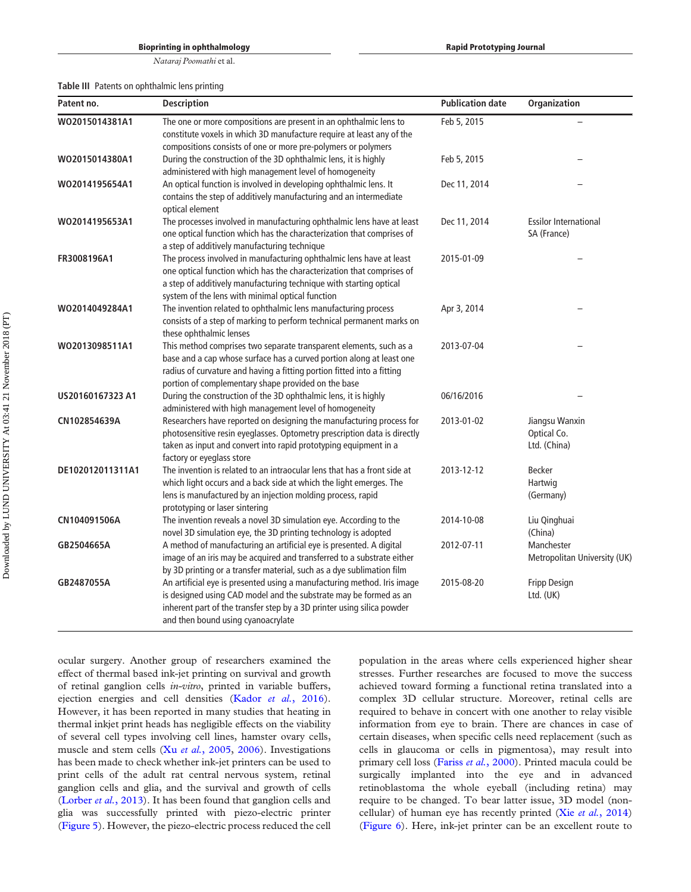#### Bioprinting in ophthalmology

Nataraj Poomathi et al.

<span id="page-10-0"></span>Table III Patents on ophthalmic lens printing

| Patent no.       | <b>Description</b>                                                                                                                                                                                                                                                          | <b>Publication date</b> | Organization                                  |
|------------------|-----------------------------------------------------------------------------------------------------------------------------------------------------------------------------------------------------------------------------------------------------------------------------|-------------------------|-----------------------------------------------|
| W02015014381A1   | The one or more compositions are present in an ophthalmic lens to<br>constitute voxels in which 3D manufacture require at least any of the<br>compositions consists of one or more pre-polymers or polymers                                                                 | Feb 5, 2015             |                                               |
| WO2015014380A1   | During the construction of the 3D ophthalmic lens, it is highly<br>administered with high management level of homogeneity                                                                                                                                                   | Feb 5, 2015             |                                               |
| WO2014195654A1   | An optical function is involved in developing ophthalmic lens. It<br>contains the step of additively manufacturing and an intermediate<br>optical element                                                                                                                   | Dec 11, 2014            |                                               |
| WO2014195653A1   | The processes involved in manufacturing ophthalmic lens have at least<br>one optical function which has the characterization that comprises of<br>a step of additively manufacturing technique                                                                              | Dec 11, 2014            | <b>Essilor International</b><br>SA (France)   |
| FR3008196A1      | The process involved in manufacturing ophthalmic lens have at least<br>one optical function which has the characterization that comprises of<br>a step of additively manufacturing technique with starting optical<br>system of the lens with minimal optical function      | 2015-01-09              |                                               |
| WO2014049284A1   | The invention related to ophthalmic lens manufacturing process<br>consists of a step of marking to perform technical permanent marks on<br>these ophthalmic lenses                                                                                                          | Apr 3, 2014             |                                               |
| WO2013098511A1   | This method comprises two separate transparent elements, such as a<br>base and a cap whose surface has a curved portion along at least one<br>radius of curvature and having a fitting portion fitted into a fitting<br>portion of complementary shape provided on the base | 2013-07-04              |                                               |
| US20160167323 A1 | During the construction of the 3D ophthalmic lens, it is highly<br>administered with high management level of homogeneity                                                                                                                                                   | 06/16/2016              |                                               |
| CN102854639A     | Researchers have reported on designing the manufacturing process for<br>photosensitive resin eyeglasses. Optometry prescription data is directly<br>taken as input and convert into rapid prototyping equipment in a<br>factory or eyeglass store                           | 2013-01-02              | Jiangsu Wanxin<br>Optical Co.<br>Ltd. (China) |
| DE102012011311A1 | The invention is related to an intraocular lens that has a front side at<br>which light occurs and a back side at which the light emerges. The<br>lens is manufactured by an injection molding process, rapid<br>prototyping or laser sintering                             | 2013-12-12              | Becker<br>Hartwig<br>(Germany)                |
| CN104091506A     | The invention reveals a novel 3D simulation eye. According to the<br>novel 3D simulation eye, the 3D printing technology is adopted                                                                                                                                         | 2014-10-08              | Liu Qinghuai<br>(China)                       |
| GB2504665A       | A method of manufacturing an artificial eye is presented. A digital<br>image of an iris may be acquired and transferred to a substrate either<br>by 3D printing or a transfer material, such as a dye sublimation film                                                      | 2012-07-11              | Manchester<br>Metropolitan University (UK)    |
| GB2487055A       | An artificial eye is presented using a manufacturing method. Iris image<br>is designed using CAD model and the substrate may be formed as an<br>inherent part of the transfer step by a 3D printer using silica powder<br>and then bound using cyanoacrylate                | 2015-08-20              | Fripp Design<br>Ltd. (UK)                     |

ocular surgery. Another group of researchers examined the effect of thermal based ink-jet printing on survival and growth of retinal ganglion cells in-vitro, printed in variable buffers, ejection energies and cell densities (Kador et al.[, 2016\)](#page-16-25). However, it has been reported in many studies that heating in thermal inkjet print heads has negligible effects on the viability of several cell types involving cell lines, hamster ovary cells, muscle and stem cells (Xu et al.[, 2005,](#page-19-6) [2006](#page-19-7)). Investigations has been made to check whether ink-jet printers can be used to print cells of the adult rat central nervous system, retinal ganglion cells and glia, and the survival and growth of cells [\(Lorber](#page-16-26) et al., 2013). It has been found that ganglion cells and glia was successfully printed with piezo-electric printer [\(Figure 5\)](#page-11-0). However, the piezo-electric process reduced the cell population in the areas where cells experienced higher shear stresses. Further researches are focused to move the success achieved toward forming a functional retina translated into a complex 3D cellular structure. Moreover, retinal cells are required to behave in concert with one another to relay visible information from eye to brain. There are chances in case of certain diseases, when specific cells need replacement (such as cells in glaucoma or cells in pigmentosa), may result into primary cell loss (Fariss et al.[, 2000](#page-15-23)). Printed macula could be surgically implanted into the eye and in advanced retinoblastoma the whole eyeball (including retina) may require to be changed. To bear latter issue, 3D model (non-cellular) of human eye has recently printed (Xie et al.[, 2014\)](#page-18-25) [\(Figure 6](#page-12-0)). Here, ink-jet printer can be an excellent route to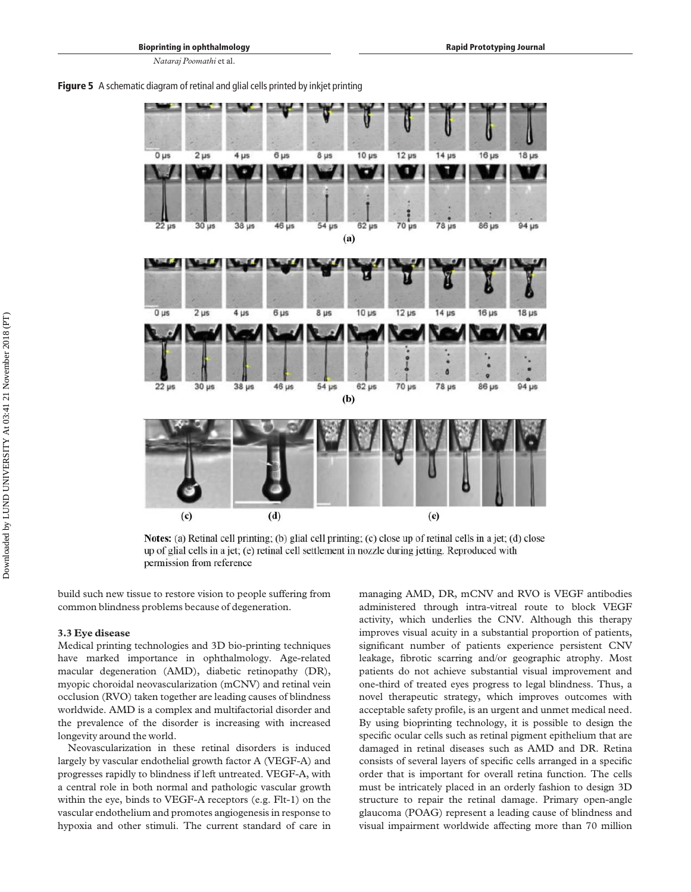<span id="page-11-0"></span>



Notes: (a) Retinal cell printing; (b) glial cell printing; (c) close up of retinal cells in a jet; (d) close up of glial cells in a jet; (e) retinal cell settlement in nozzle during jetting. Reproduced with permission from reference

build such new tissue to restore vision to people suffering from common blindness problems because of degeneration.

#### 3.3 Eye disease

Medical printing technologies and 3D bio-printing techniques have marked importance in ophthalmology. Age-related macular degeneration (AMD), diabetic retinopathy (DR), myopic choroidal neovascularization (mCNV) and retinal vein occlusion (RVO) taken together are leading causes of blindness worldwide. AMD is a complex and multifactorial disorder and the prevalence of the disorder is increasing with increased longevity around the world.

Neovascularization in these retinal disorders is induced largely by vascular endothelial growth factor A (VEGF-A) and progresses rapidly to blindness if left untreated. VEGF-A, with a central role in both normal and pathologic vascular growth within the eye, binds to VEGF-A receptors (e.g. Flt-1) on the vascular endothelium and promotes angiogenesis in response to hypoxia and other stimuli. The current standard of care in

managing AMD, DR, mCNV and RVO is VEGF antibodies administered through intra-vitreal route to block VEGF activity, which underlies the CNV. Although this therapy improves visual acuity in a substantial proportion of patients, significant number of patients experience persistent CNV leakage, fibrotic scarring and/or geographic atrophy. Most patients do not achieve substantial visual improvement and one-third of treated eyes progress to legal blindness. Thus, a novel therapeutic strategy, which improves outcomes with acceptable safety profile, is an urgent and unmet medical need. By using bioprinting technology, it is possible to design the specific ocular cells such as retinal pigment epithelium that are damaged in retinal diseases such as AMD and DR. Retina consists of several layers of specific cells arranged in a specific order that is important for overall retina function. The cells must be intricately placed in an orderly fashion to design 3D structure to repair the retinal damage. Primary open-angle glaucoma (POAG) represent a leading cause of blindness and visual impairment worldwide affecting more than 70 million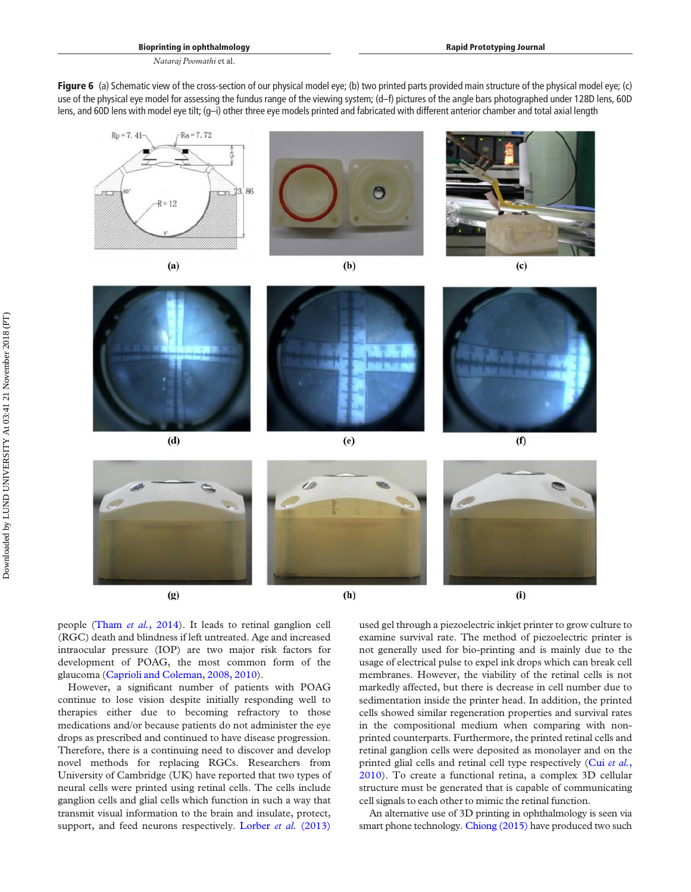<span id="page-12-0"></span>Figure 6 (a) Schematic view of the cross-section of our physical model eye; (b) two printed parts provided main structure of the physical model eye; (c) use of the physical eye model for assessing the fundus range of the viewing system; (d–f) pictures of the angle bars photographed under 128D lens, 60D lens, and 60D lens with model eye tilt; (g–i) other three eye models printed and fabricated with different anterior chamber and total axial length



people (Tham et al.[, 2014\)](#page-18-26). It leads to retinal ganglion cell (RGC) death and blindness if left untreated. Age and increased intraocular pressure (IOP) are two major risk factors for development of POAG, the most common form of the glaucoma [\(Caprioli and Coleman,](#page-15-24) [2008, 2010\)](#page-15-25).

However, a significant number of patients with POAG continue to lose vision despite initially responding well to therapies either due to becoming refractory to those medications and/or because patients do not administer the eye drops as prescribed and continued to have disease progression. Therefore, there is a continuing need to discover and develop novel methods for replacing RGCs. Researchers from University of Cambridge (UK) have reported that two types of neural cells were printed using retinal cells. The cells include ganglion cells and glial cells which function in such a way that transmit visual information to the brain and insulate, protect, support, and feed neurons respectively. [Lorber](#page-16-26) et al. (2013)

used gel through a piezoelectric inkjet printer to grow culture to examine survival rate. The method of piezoelectric printer is not generally used for bio-printing and is mainly due to the usage of electrical pulse to expel ink drops which can break cell membranes. However, the viability of the retinal cells is not markedly affected, but there is decrease in cell number due to sedimentation inside the printer head. In addition, the printed cells showed similar regeneration properties and survival rates in the compositional medium when comparing with nonprinted counterparts. Furthermore, the printed retinal cells and retinal ganglion cells were deposited as monolayer and on the printed glial cells and retinal cell type respectively (Cui [et al.](#page-15-26), [2010\)](#page-15-26). To create a functional retina, a complex 3D cellular structure must be generated that is capable of communicating cell signals to each other to mimic the retinal function.

An alternative use of 3D printing in ophthalmology is seen via smart phone technology. [Chiong \(2015\)](#page-15-27) have produced two such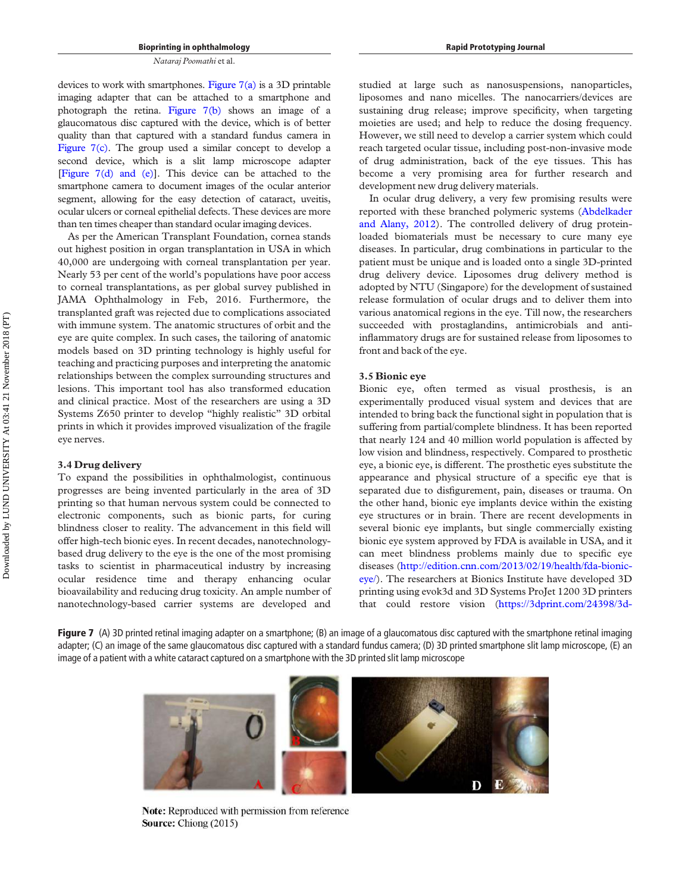devices to work with smartphones. Figure  $7(a)$  is a 3D printable imaging adapter that can be attached to a smartphone and photograph the retina. [Figure 7\(b\)](#page-13-0) shows an image of a glaucomatous disc captured with the device, which is of better quality than that captured with a standard fundus camera in [Figure 7\(c\)](#page-13-0). The group used a similar concept to develop a second device, which is a slit lamp microscope adapter [\[Figure 7\(d\) and \(e\)\]](#page-13-0). This device can be attached to the smartphone camera to document images of the ocular anterior segment, allowing for the easy detection of cataract, uveitis, ocular ulcers or corneal epithelial defects. These devices are more than ten times cheaper than standard ocular imaging devices.

As per the American Transplant Foundation, cornea stands out highest position in organ transplantation in USA in which 40,000 are undergoing with corneal transplantation per year. Nearly 53 per cent of the world's populations have poor access to corneal transplantations, as per global survey published in JAMA Ophthalmology in Feb, 2016. Furthermore, the transplanted graft was rejected due to complications associated with immune system. The anatomic structures of orbit and the eye are quite complex. In such cases, the tailoring of anatomic models based on 3D printing technology is highly useful for teaching and practicing purposes and interpreting the anatomic relationships between the complex surrounding structures and lesions. This important tool has also transformed education and clinical practice. Most of the researchers are using a 3D Systems Z650 printer to develop "highly realistic" 3D orbital prints in which it provides improved visualization of the fragile eye nerves.

#### 3.4 Drug delivery

To expand the possibilities in ophthalmologist, continuous progresses are being invented particularly in the area of 3D printing so that human nervous system could be connected to electronic components, such as bionic parts, for curing blindness closer to reality. The advancement in this field will offer high-tech bionic eyes. In recent decades, nanotechnologybased drug delivery to the eye is the one of the most promising tasks to scientist in pharmaceutical industry by increasing ocular residence time and therapy enhancing ocular bioavailability and reducing drug toxicity. An ample number of nanotechnology-based carrier systems are developed and

studied at large such as nanosuspensions, nanoparticles, liposomes and nano micelles. The nanocarriers/devices are sustaining drug release; improve specificity, when targeting moieties are used; and help to reduce the dosing frequency. However, we still need to develop a carrier system which could reach targeted ocular tissue, including post-non-invasive mode of drug administration, back of the eye tissues. This has become a very promising area for further research and development new drug delivery materials.

In ocular drug delivery, a very few promising results were reported with these branched polymeric systems [\(Abdelkader](#page-14-8) [and Alany, 2012\)](#page-14-8). The controlled delivery of drug proteinloaded biomaterials must be necessary to cure many eye diseases. In particular, drug combinations in particular to the patient must be unique and is loaded onto a single 3D-printed drug delivery device. Liposomes drug delivery method is adopted by NTU (Singapore) for the development of sustained release formulation of ocular drugs and to deliver them into various anatomical regions in the eye. Till now, the researchers succeeded with prostaglandins, antimicrobials and antiinflammatory drugs are for sustained release from liposomes to front and back of the eye.

#### 3.5 Bionic eye

Bionic eye, often termed as visual prosthesis, is an experimentally produced visual system and devices that are intended to bring back the functional sight in population that is suffering from partial/complete blindness. It has been reported that nearly 124 and 40 million world population is affected by low vision and blindness, respectively. Compared to prosthetic eye, a bionic eye, is different. The prosthetic eyes substitute the appearance and physical structure of a specific eye that is separated due to disfigurement, pain, diseases or trauma. On the other hand, bionic eye implants device within the existing eye structures or in brain. There are recent developments in several bionic eye implants, but single commercially existing bionic eye system approved by FDA is available in USA, and it can meet blindness problems mainly due to specific eye diseases ([http://edition.cnn.com/2013/02/19/health/fda-bionic](http://edition.cnn.com/2013/02/19/health/fda-bionic-eye/)[eye/](http://edition.cnn.com/2013/02/19/health/fda-bionic-eye/)). The researchers at Bionics Institute have developed 3D printing using evok3d and 3D Systems ProJet 1200 3D printers that could restore vision [\(https://3dprint.com/24398/3d-](https://3dprint.com/24398/3d-printed-bionic-eye/)

<span id="page-13-0"></span>Figure 7 (A) 3D printed retinal imaging adapter on a smartphone; (B) an image of a glaucomatous disc captured with the smartphone retinal imaging adapter; (C) an image of the same glaucomatous disc captured with a standard fundus camera; (D) 3D printed smartphone slit lamp microscope, (E) an image of a patient with a white cataract captured on a smartphone with the 3D printed slit lamp microscope



Note: Reproduced with permission from reference Source: Chiong (2015)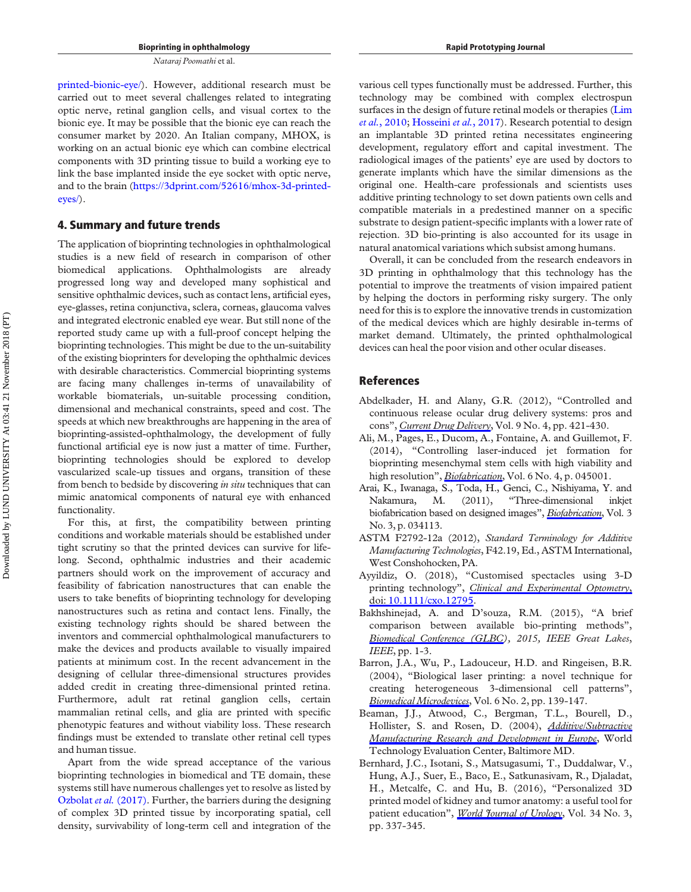[printed-bionic-eye/](https://3dprint.com/24398/3d-printed-bionic-eye/)). However, additional research must be carried out to meet several challenges related to integrating optic nerve, retinal ganglion cells, and visual cortex to the bionic eye. It may be possible that the bionic eye can reach the consumer market by 2020. An Italian company, MHOX, is working on an actual bionic eye which can combine electrical components with 3D printing tissue to build a working eye to link the base implanted inside the eye socket with optic nerve, and to the brain ([https://3dprint.com/52616/mhox-3d-printed](https://3dprint.com/52616/mhox-3d-printed-eyes/)[eyes/\)](https://3dprint.com/52616/mhox-3d-printed-eyes/).

#### 4. Summary and future trends

The application of bioprinting technologies in ophthalmological studies is a new field of research in comparison of other biomedical applications. Ophthalmologists are already progressed long way and developed many sophistical and sensitive ophthalmic devices, such as contact lens, artificial eyes, eye-glasses, retina conjunctiva, sclera, corneas, glaucoma valves and integrated electronic enabled eye wear. But still none of the reported study came up with a full-proof concept helping the bioprinting technologies. This might be due to the un-suitability of the existing bioprinters for developing the ophthalmic devices with desirable characteristics. Commercial bioprinting systems are facing many challenges in-terms of unavailability of workable biomaterials, un-suitable processing condition, dimensional and mechanical constraints, speed and cost. The speeds at which new breakthroughs are happening in the area of bioprinting-assisted-ophthalmology, the development of fully functional artificial eye is now just a matter of time. Further, bioprinting technologies should be explored to develop vascularized scale-up tissues and organs, transition of these from bench to bedside by discovering in situ techniques that can mimic anatomical components of natural eye with enhanced functionality.

For this, at first, the compatibility between printing conditions and workable materials should be established under tight scrutiny so that the printed devices can survive for lifelong. Second, ophthalmic industries and their academic partners should work on the improvement of accuracy and feasibility of fabrication nanostructures that can enable the users to take benefits of bioprinting technology for developing nanostructures such as retina and contact lens. Finally, the existing technology rights should be shared between the inventors and commercial ophthalmological manufacturers to make the devices and products available to visually impaired patients at minimum cost. In the recent advancement in the designing of cellular three-dimensional structures provides added credit in creating three-dimensional printed retina. Furthermore, adult rat retinal ganglion cells, certain mammalian retinal cells, and glia are printed with specific phenotypic features and without viability loss. These research findings must be extended to translate other retinal cell types and human tissue.

Apart from the wide spread acceptance of the various bioprinting technologies in biomedical and TE domain, these systems still have numerous challenges yet to resolve as listed by [Ozbolat](#page-17-29) et al. (2017). Further, the barriers during the designing of complex 3D printed tissue by incorporating spatial, cell density, survivability of long-term cell and integration of the various cell types functionally must be addressed. Further, this technology may be combined with complex electrospun surfaces in the design of future retinal models or therapies ([Lim](#page-16-11) et al.[, 2010](#page-16-11); [Hosseini](#page-16-27) et al., 2017). Research potential to design an implantable 3D printed retina necessitates engineering development, regulatory effort and capital investment. The radiological images of the patients' eye are used by doctors to generate implants which have the similar dimensions as the original one. Health-care professionals and scientists uses additive printing technology to set down patients own cells and compatible materials in a predestined manner on a specific substrate to design patient-specific implants with a lower rate of rejection. 3D bio-printing is also accounted for its usage in natural anatomical variations which subsist among humans.

Overall, it can be concluded from the research endeavors in 3D printing in ophthalmology that this technology has the potential to improve the treatments of vision impaired patient by helping the doctors in performing risky surgery. The only need for this is to explore the innovative trends in customization of the medical devices which are highly desirable in-terms of market demand. Ultimately, the printed ophthalmological devices can heal the poor vision and other ocular diseases.

#### References

- <span id="page-14-8"></span>Abdelkader, H. and Alany, G.R. (2012), "Controlled and continuous release ocular drug delivery systems: pros and cons", [Current Drug Delivery](https://www.emeraldinsight.com/action/showLinks?doi=10.1108%2FRPJ-06-2018-0144&crossref=10.2174%2F156720112801323125&isi=000308196900012&citationId=p_1), Vol. 9 No. 4, pp. 421-430.
- <span id="page-14-3"></span>Ali, M., Pages, E., Ducom, A., Fontaine, A. and Guillemot, F. (2014), "Controlling laser-induced jet formation for bioprinting mesenchymal stem cells with high viability and high resolution", *[Biofabrication](https://www.emeraldinsight.com/action/showLinks?doi=10.1108%2FRPJ-06-2018-0144&crossref=10.1088%2F1758-5082%2F6%2F4%2F045001&isi=000348353700002&citationId=p_2)*, Vol. 6 No. 4, p. 045001.
- <span id="page-14-5"></span>Arai, K., Iwanaga, S., Toda, H., Genci, C., Nishiyama, Y. and Nakamura, M. (2011), "Three-dimensional inkjet biofabrication based on designed images", [Biofabrication](https://www.emeraldinsight.com/action/showLinks?doi=10.1108%2FRPJ-06-2018-0144&crossref=10.1088%2F1758-5082%2F3%2F3%2F034113&isi=000294955200015&citationId=p_3), Vol. 3 No. 3, p. 034113.
- <span id="page-14-0"></span>ASTM F2792-12a (2012), Standard Terminology for Additive Manufacturing Technologies, F42.19, Ed., ASTM International, West Conshohocken, PA.
- <span id="page-14-7"></span>Ayyildiz, O. (2018), "Customised spectacles using 3-D printing technology", *[Clinical and Experimental Optometry](https://www.emeraldinsight.com/action/showLinks?doi=10.1108%2FRPJ-06-2018-0144&crossref=10.1111%2Fcxo.12795&citationId=p_5)*, doi: [10.1111/cxo.12795.](https://www.emeraldinsight.com/action/showLinks?doi=10.1108%2FRPJ-06-2018-0144&crossref=10.1111%2Fcxo.12795&citationId=p_5)
- <span id="page-14-2"></span>Bakhshinejad, A. and D'souza, R.M. (2015), "A brief comparison between available bio-printing methods", [Biomedical Conference \(GLBC](https://www.emeraldinsight.com/action/showLinks?doi=10.1108%2FRPJ-06-2018-0144&crossref=10.1109%2FGLBC.2015.7158294&citationId=p_6)), 2015, IEEE Great Lakes, IEEE, pp. 1-3.
- <span id="page-14-6"></span>Barron, J.A., Wu, P., Ladouceur, H.D. and Ringeisen, B.R. (2004), "Biological laser printing: a novel technique for creating heterogeneous 3-dimensional cell patterns", [Biomedical Microdevices](https://www.emeraldinsight.com/action/showLinks?doi=10.1108%2FRPJ-06-2018-0144&crossref=10.1023%2FB%3ABMMD.0000031751.67267.9f&isi=000222017300007&citationId=p_7), Vol. 6 No. 2, pp. 139-147.
- <span id="page-14-1"></span>Beaman, J.J., Atwood, C., Bergman, T.L., Bourell, D., Hollister, S. and Rosen, D. (2004), [Additive/Subtractive](https://www.emeraldinsight.com/action/showLinks?doi=10.1108%2FRPJ-06-2018-0144&crossref=10.21236%2FADA466756&citationId=p_8) [Manufacturing Research and Development in Europe](https://www.emeraldinsight.com/action/showLinks?doi=10.1108%2FRPJ-06-2018-0144&crossref=10.21236%2FADA466756&citationId=p_8), World Technology Evaluation Center, Baltimore MD.
- <span id="page-14-4"></span>Bernhard, J.C., Isotani, S., Matsugasumi, T., Duddalwar, V., Hung, A.J., Suer, E., Baco, E., Satkunasivam, R., Djaladat, H., Metcalfe, C. and Hu, B. (2016), "Personalized 3D printed model of kidney and tumor anatomy: a useful tool for patient education", World *Journal of Urology*, Vol. 34 No. 3, pp. 337-345.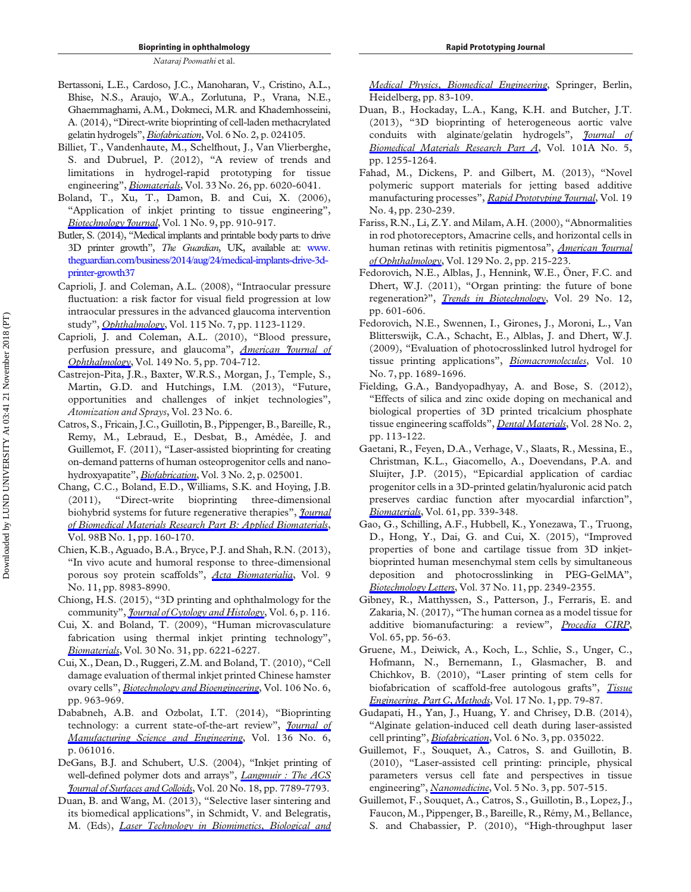- <span id="page-15-19"></span>Bertassoni, L.E., Cardoso, J.C., Manoharan, V., Cristino, A.L., Bhise, N.S., Araujo, W.A., Zorlutuna, P., Vrana, N.E., Ghaemmaghami, A.M., Dokmeci, M.R. and Khademhosseini, A. (2014), "Direct-write bioprinting of cell-laden methacrylated gelatin hydrogels", [Biofabrication](https://www.emeraldinsight.com/action/showLinks?doi=10.1108%2FRPJ-06-2018-0144&crossref=10.1088%2F1758-5082%2F6%2F2%2F024105&isi=000337705000007&citationId=p_10), Vol. 6 No. 2, p. 024105.
- <span id="page-15-5"></span>Billiet, T., Vandenhaute, M., Schelfhout, J., Van Vlierberghe, S. and Dubruel, P. (2012), "A review of trends and limitations in hydrogel-rapid prototyping for tissue engineering", [Biomaterials](https://www.emeraldinsight.com/action/showLinks?doi=10.1108%2FRPJ-06-2018-0144&crossref=10.1016%2Fj.biomaterials.2012.04.050&isi=000306720400005&citationId=p_11), Vol. 33 No. 26, pp. 6020-6041.
- <span id="page-15-8"></span>Boland, T., Xu, T., Damon, B. and Cui, X. (2006), "Application of inkjet printing to tissue engineering", Biotechnology *Journal*, Vol. 1 No. 9, pp. 910-917.
- <span id="page-15-0"></span>Butler, S. (2014), "Medical implants and printable body parts to drive 3D printer growth", The Guardian, UK, available at: [www.](http://www.theguardian.com/business/2014/aug/24/medical-implants-drive-3d-printer-growth37) [theguardian.com/business/2014/aug/24/medical-implants-drive-3d](http://www.theguardian.com/business/2014/aug/24/medical-implants-drive-3d-printer-growth37)[printer-growth37](http://www.theguardian.com/business/2014/aug/24/medical-implants-drive-3d-printer-growth37)
- <span id="page-15-24"></span>Caprioli, J. and Coleman, A.L. (2008), "Intraocular pressure fluctuation: a risk factor for visual field progression at low intraocular pressures in the advanced glaucoma intervention study", [Ophthalmology](https://www.emeraldinsight.com/action/showLinks?doi=10.1108%2FRPJ-06-2018-0144&crossref=10.1016%2Fj.ophtha.2007.10.031&isi=000257211100004&citationId=p_14), Vol. 115 No. 7, pp. 1123-1129.
- <span id="page-15-25"></span>Caprioli, J. and Coleman, A.L. (2010), "Blood pressure, perfusion pressure, and glaucoma", *[American Journal of](https://www.emeraldinsight.com/action/showLinks?doi=10.1108%2FRPJ-06-2018-0144&crossref=10.1016%2Fj.ajo.2010.01.018&isi=000277493800005&citationId=p_15)* [Ophthalmology](https://www.emeraldinsight.com/action/showLinks?doi=10.1108%2FRPJ-06-2018-0144&crossref=10.1016%2Fj.ajo.2010.01.018&isi=000277493800005&citationId=p_15), Vol. 149 No. 5, pp. 704-712.
- <span id="page-15-10"></span>Castrejon-Pita, J.R., Baxter, W.R.S., Morgan, J., Temple, S., Martin, G.D. and Hutchings, I.M. (2013), "Future, opportunities and challenges of inkjet technologies", Atomization and Sprays, Vol. 23 No. 6.
- <span id="page-15-16"></span>Catros, S., Fricain, J.C., Guillotin, B., Pippenger, B., Bareille, R., Remy, M., Lebraud, E., Desbat, B., Amédée, J. and Guillemot, F. (2011), "Laser-assisted bioprinting for creating on-demand patterns of human osteoprogenitor cells and nanohydroxyapatite", *[Biofabrication](https://www.emeraldinsight.com/action/showLinks?doi=10.1108%2FRPJ-06-2018-0144&crossref=10.1088%2F1758-5082%2F3%2F2%2F025001&isi=000294954500003&citationId=p_17)*, Vol. 3 No. 2, p. 025001.
- <span id="page-15-6"></span>Chang, C.C., Boland, E.D., Williams, S.K. and Hoying, J.B. (2011), "Direct-write bioprinting three-dimensional biohybrid systems for future regenerative therapies", *[Journal](https://www.emeraldinsight.com/action/showLinks?doi=10.1108%2FRPJ-06-2018-0144&crossref=10.1002%2Fjbm.b.31831&isi=000291598900018&citationId=p_18)* [of Biomedical Materials Research Part B: Applied Biomaterials](https://www.emeraldinsight.com/action/showLinks?doi=10.1108%2FRPJ-06-2018-0144&crossref=10.1002%2Fjbm.b.31831&isi=000291598900018&citationId=p_18), Vol. 98B No. 1, pp. 160-170.
- <span id="page-15-12"></span>Chien, K.B., Aguado, B.A., Bryce, P.J. and Shah, R.N. (2013), "In vivo acute and humoral response to three-dimensional porous soy protein scaffolds", [Acta Biomaterialia](https://www.emeraldinsight.com/action/showLinks?doi=10.1108%2FRPJ-06-2018-0144&crossref=10.1016%2Fj.actbio.2013.07.005&isi=000326902500021&citationId=p_19), Vol. 9 No. 11, pp. 8983-8990.
- <span id="page-15-27"></span>Chiong, H.S. (2015), "3D printing and ophthalmology for the community", *[Journal of Cytology and Histology](https://www.emeraldinsight.com/action/showLinks?doi=10.1108%2FRPJ-06-2018-0144&crossref=10.4172%2F2157-7099.1000e116&citationId=p_20)*, Vol. 6, p. 116.
- <span id="page-15-9"></span>Cui, X. and Boland, T. (2009), "Human microvasculature fabrication using thermal inkjet printing technology", [Biomaterials](https://www.emeraldinsight.com/action/showLinks?doi=10.1108%2FRPJ-06-2018-0144&crossref=10.1016%2Fj.biomaterials.2009.07.056&isi=000270767300008&citationId=p_21), Vol. 30 No. 31, pp. 6221-6227.
- <span id="page-15-26"></span>Cui, X., Dean, D., Ruggeri, Z.M. and Boland, T. (2010), "Cell damage evaluation of thermal inkjet printed Chinese hamster ovary cells", [Biotechnology and Bioengineering](https://www.emeraldinsight.com/action/showLinks?doi=10.1108%2FRPJ-06-2018-0144&crossref=10.1002%2Fbit.22762&isi=000280341200012&citationId=p_22), Vol. 106 No. 6, pp. 963-969.
- <span id="page-15-4"></span>Dababneh, A.B. and Ozbolat, I.T. (2014), "Bioprinting technology: a current state-of-the-art review", *[Journal of](https://www.emeraldinsight.com/action/showLinks?doi=10.1108%2FRPJ-06-2018-0144&crossref=10.1115%2F1.4028512&isi=000344393000018&citationId=p_23)* [Manufacturing Science and Engineering](https://www.emeraldinsight.com/action/showLinks?doi=10.1108%2FRPJ-06-2018-0144&crossref=10.1115%2F1.4028512&isi=000344393000018&citationId=p_23), Vol. 136 No. 6, p. 061016.
- <span id="page-15-7"></span>DeGans, B.J. and Schubert, U.S. (2004), "Inkjet printing of well-defined polymer dots and arrays", *[Langmuir : The ACS](https://www.emeraldinsight.com/action/showLinks?doi=10.1108%2FRPJ-06-2018-0144&crossref=10.1021%2Fla049469o&isi=000223567900062&citationId=p_24)* [Journal of Surfaces and Colloids](https://www.emeraldinsight.com/action/showLinks?doi=10.1108%2FRPJ-06-2018-0144&crossref=10.1021%2Fla049469o&isi=000223567900062&citationId=p_24), Vol. 20 No. 18, pp. 7789-7793.
- <span id="page-15-17"></span>Duan, B. and Wang, M. (2013), "Selective laser sintering and its biomedical applications", in Schmidt, V. and Belegratis, M. (Eds), [Laser Technology in Biomimetics, Biological and](https://www.emeraldinsight.com/action/showLinks?doi=10.1108%2FRPJ-06-2018-0144&crossref=10.1007%2F978-3-642-41341-4_4&citationId=p_25)

[Medical Physics, Biomedical Engineering](https://www.emeraldinsight.com/action/showLinks?doi=10.1108%2FRPJ-06-2018-0144&crossref=10.1007%2F978-3-642-41341-4_4&citationId=p_25), Springer, Berlin, Heidelberg, pp. 83-109.

- <span id="page-15-11"></span>Duan, B., Hockaday, L.A., Kang, K.H. and Butcher, J.T. (2013), "3D bioprinting of heterogeneous aortic valve conduits with alginate/gelatin hydrogels", *[Journal of](https://www.emeraldinsight.com/action/showLinks?doi=10.1108%2FRPJ-06-2018-0144&crossref=10.1002%2Fjbm.a.34420&citationId=p_26)* [Biomedical Materials Research Part A](https://www.emeraldinsight.com/action/showLinks?doi=10.1108%2FRPJ-06-2018-0144&crossref=10.1002%2Fjbm.a.34420&citationId=p_26), Vol. 101A No. 5, pp. 1255-1264.
- <span id="page-15-3"></span>Fahad, M., Dickens, P. and Gilbert, M. (2013), "Novel polymeric support materials for jetting based additive manufacturing processes", [Rapid Prototyping Journal](https://www.emeraldinsight.com/action/showLinks?doi=10.1108%2FRPJ-06-2018-0144&system=10.1108%2F13552541311323245&isi=000319890900003&citationId=p_27), Vol. 19 No. 4, pp. 230-239.
- <span id="page-15-23"></span>Fariss, R.N., Li, Z.Y. and Milam, A.H. (2000), "Abnormalities in rod photoreceptors, Amacrine cells, and horizontal cells in human retinas with retinitis pigmentosa", [American Journal](https://www.emeraldinsight.com/action/showLinks?doi=10.1108%2FRPJ-06-2018-0144&crossref=10.1016%2FS0002-9394%2899%2900401-8&isi=000085230800013&citationId=p_28) [of Ophthalmology](https://www.emeraldinsight.com/action/showLinks?doi=10.1108%2FRPJ-06-2018-0144&crossref=10.1016%2FS0002-9394%2899%2900401-8&isi=000085230800013&citationId=p_28), Vol. 129 No. 2, pp. 215-223.
- <span id="page-15-1"></span>Fedorovich, N.E., Alblas, J., Hennink, W.E., Öner, F.C. and Dhert, W.J. (2011), "Organ printing: the future of bone regeneration?", [Trends in Biotechnology](https://www.emeraldinsight.com/action/showLinks?doi=10.1108%2FRPJ-06-2018-0144&crossref=10.1016%2Fj.tibtech.2011.07.001&isi=000297878000002&citationId=p_29), Vol. 29 No. 12, pp. 601-606.
- <span id="page-15-18"></span>Fedorovich, N.E., Swennen, I., Girones, J., Moroni, L., Van Blitterswijk, C.A., Schacht, E., Alblas, J. and Dhert, W.J. (2009), "Evaluation of photocrosslinked lutrol hydrogel for tissue printing applications", *[Biomacromolecules](https://www.emeraldinsight.com/action/showLinks?doi=10.1108%2FRPJ-06-2018-0144&crossref=10.1021%2Fbm801463q&isi=000268139300003&citationId=p_30)*, Vol. 10 No. 7, pp. 1689-1696.
- <span id="page-15-2"></span>Fielding, G.A., Bandyopadhyay, A. and Bose, S. (2012), "Effects of silica and zinc oxide doping on mechanical and biological properties of 3D printed tricalcium phosphate tissue engineering scaffolds", [Dental Materials](https://www.emeraldinsight.com/action/showLinks?doi=10.1108%2FRPJ-06-2018-0144&crossref=10.1016%2Fj.dental.2011.09.010&isi=000299312700004&citationId=p_31), Vol. 28 No. 2, pp. 113-122.
- <span id="page-15-21"></span>Gaetani, R., Feyen, D.A., Verhage, V., Slaats, R., Messina, E., Christman, K.L., Giacomello, A., Doevendans, P.A. and Sluijter, J.P. (2015), "Epicardial application of cardiac progenitor cells in a 3D-printed gelatin/hyaluronic acid patch preserves cardiac function after myocardial infarction", [Biomaterials](https://www.emeraldinsight.com/action/showLinks?doi=10.1108%2FRPJ-06-2018-0144&crossref=10.1016%2Fj.biomaterials.2015.05.005&isi=000357229900032&citationId=p_32), Vol. 61, pp. 339-348.
- <span id="page-15-20"></span>Gao, G., Schilling, A.F., Hubbell, K., Yonezawa, T., Truong, D., Hong, Y., Dai, G. and Cui, X. (2015), "Improved properties of bone and cartilage tissue from 3D inkjetbioprinted human mesenchymal stem cells by simultaneous deposition and photocrosslinking in PEG-GelMA", [Biotechnology Letters](https://www.emeraldinsight.com/action/showLinks?doi=10.1108%2FRPJ-06-2018-0144&crossref=10.1007%2Fs10529-015-1921-2&isi=000361825200029&citationId=p_33), Vol. 37 No. 11, pp. 2349-2355.
- <span id="page-15-22"></span>Gibney, R., Matthyssen, S., Patterson, J., Ferraris, E. and Zakaria, N. (2017), "The human cornea as a model tissue for additive biomanufacturing: a review", [Procedia CIRP](https://www.emeraldinsight.com/action/showLinks?doi=10.1108%2FRPJ-06-2018-0144&crossref=10.1016%2Fj.procir.2017.04.040&citationId=p_34), Vol. 65, pp. 56-63.
- <span id="page-15-15"></span>Gruene, M., Deiwick, A., Koch, L., Schlie, S., Unger, C., Hofmann, N., Bernemann, I., Glasmacher, B. and Chichkov, B. (2010), "Laser printing of stem cells for biofabrication of scaffold-free autologous grafts", [Tissue](https://www.emeraldinsight.com/action/showLinks?doi=10.1108%2FRPJ-06-2018-0144&crossref=10.1089%2Ften.tec.2010.0359&isi=000285874700009&citationId=p_35) [Engineering. Part C, Methods](https://www.emeraldinsight.com/action/showLinks?doi=10.1108%2FRPJ-06-2018-0144&crossref=10.1089%2Ften.tec.2010.0359&isi=000285874700009&citationId=p_35), Vol. 17 No. 1, pp. 79-87.
- <span id="page-15-14"></span>Gudapati, H., Yan, J., Huang, Y. and Chrisey, D.B. (2014), "Alginate gelation-induced cell death during laser-assisted cell printing", [Biofabrication](https://www.emeraldinsight.com/action/showLinks?doi=10.1108%2FRPJ-06-2018-0144&crossref=10.1088%2F1758-5082%2F6%2F3%2F035022&isi=000341823500022&citationId=p_36), Vol. 6 No. 3, pp. 035022.
- <span id="page-15-13"></span>Guillemot, F., Souquet, A., Catros, S. and Guillotin, B. (2010), "Laser-assisted cell printing: principle, physical parameters versus cell fate and perspectives in tissue engineering", *[Nanomedicine](https://www.emeraldinsight.com/action/showLinks?doi=10.1108%2FRPJ-06-2018-0144&crossref=10.2217%2Fnnm.10.14&isi=000277074000017&citationId=p_37)*, Vol. 5 No. 3, pp. 507-515.
- Guillemot, F., Souquet, A., Catros, S., Guillotin, B., Lopez, J., Faucon, M., Pippenger, B., Bareille, R., Rémy, M., Bellance, S. and Chabassier, P. (2010), "High-throughput laser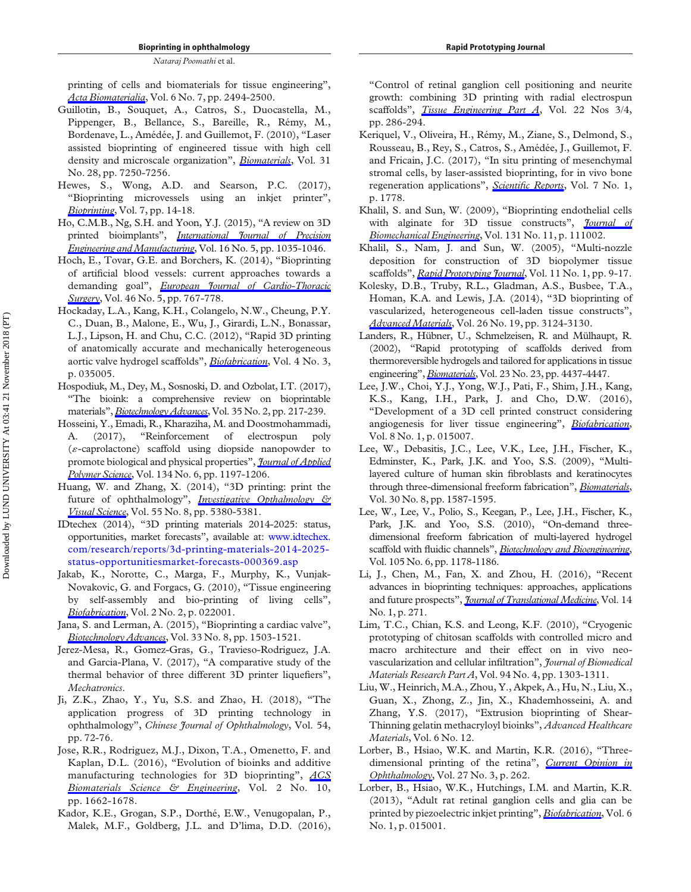printing of cells and biomaterials for tissue engineering", [Acta Biomaterialia](https://www.emeraldinsight.com/action/showLinks?doi=10.1108%2FRPJ-06-2018-0144&crossref=10.1016%2Fj.actbio.2009.09.029&isi=000278868000014&citationId=p_38), Vol. 6 No. 7, pp. 2494-2500.

- <span id="page-16-15"></span>Guillotin, B., Souquet, A., Catros, S., Duocastella, M., Pippenger, B., Bellance, S., Bareille, R., Rémy, M., Bordenave, L., Amédée, J. and Guillemot, F. (2010), "Laser assisted bioprinting of engineered tissue with high cell density and microscale organization", *[Biomaterials](https://www.emeraldinsight.com/action/showLinks?doi=10.1108%2FRPJ-06-2018-0144&crossref=10.1016%2Fj.biomaterials.2010.05.055&isi=000281183000005&citationId=p_39)*, Vol. 31 No. 28, pp. 7250-7256.
- <span id="page-16-12"></span>Hewes, S., Wong, A.D. and Searson, P.C. (2017), "Bioprinting microvessels using an inkjet printer", [Bioprinting](https://www.emeraldinsight.com/action/showLinks?doi=10.1108%2FRPJ-06-2018-0144&crossref=10.1016%2Fj.bprint.2017.05.002&citationId=p_40), Vol. 7, pp. 14-18.
- <span id="page-16-0"></span>Ho, C.M.B., Ng, S.H. and Yoon, Y.J. (2015), "A review on 3D printed bioimplants", *[International Journal of Precision](https://www.emeraldinsight.com/action/showLinks?doi=10.1108%2FRPJ-06-2018-0144&crossref=10.1007%2Fs12541-015-0134-x&isi=000354444600022&citationId=p_41)* [Engineering and Manufacturing](https://www.emeraldinsight.com/action/showLinks?doi=10.1108%2FRPJ-06-2018-0144&crossref=10.1007%2Fs12541-015-0134-x&isi=000354444600022&citationId=p_41), Vol. 16 No. 5, pp. 1035-1046.
- <span id="page-16-3"></span>Hoch, E., Tovar, G.E. and Borchers, K. (2014), "Bioprinting of artificial blood vessels: current approaches towards a demanding goal", [European Journal of Cardio-Thoracic](https://www.emeraldinsight.com/action/showLinks?doi=10.1108%2FRPJ-06-2018-0144&crossref=10.1093%2Fejcts%2Fezu242&isi=000344968700006&citationId=p_42) [Surgery](https://www.emeraldinsight.com/action/showLinks?doi=10.1108%2FRPJ-06-2018-0144&crossref=10.1093%2Fejcts%2Fezu242&isi=000344968700006&citationId=p_42), Vol. 46 No. 5, pp. 767-778.
- <span id="page-16-8"></span>Hockaday, L.A., Kang, K.H., Colangelo, N.W., Cheung, P.Y. C., Duan, B., Malone, E., Wu, J., Girardi, L.N., Bonassar, L.J., Lipson, H. and Chu, C.C. (2012), "Rapid 3D printing of anatomically accurate and mechanically heterogeneous aortic valve hydrogel scaffolds", *[Biofabrication](https://www.emeraldinsight.com/action/showLinks?doi=10.1108%2FRPJ-06-2018-0144&crossref=10.1088%2F1758-5082%2F4%2F3%2F035005&isi=000307944300005&citationId=p_43)*, Vol. 4 No. 3, p. 035005.
- <span id="page-16-4"></span>Hospodiuk, M., Dey, M., Sosnoski, D. and Ozbolat, I.T. (2017), "The bioink: a comprehensive review on bioprintable materials", [Biotechnology Advances](https://www.emeraldinsight.com/action/showLinks?doi=10.1108%2FRPJ-06-2018-0144&crossref=10.1016%2Fj.biotechadv.2016.12.006&isi=000395611100006&citationId=p_44), Vol. 35 No. 2, pp. 217-239.
- <span id="page-16-27"></span>Hosseini, Y., Emadi, R., Kharaziha, M. and Doostmohammadi, A. (2017), "Reinforcement of electrospun poly  $(\varepsilon$ -caprolactone) scaffold using diopside nanopowder to promote biological and physical properties", *[Journal of Applied](https://www.emeraldinsight.com/action/showLinks?doi=10.1108%2FRPJ-06-2018-0144&crossref=10.1002%2Fapp.44433&isi=000387411800004&citationId=p_45)* [Polymer Science](https://www.emeraldinsight.com/action/showLinks?doi=10.1108%2FRPJ-06-2018-0144&crossref=10.1002%2Fapp.44433&isi=000387411800004&citationId=p_45), Vol. 134 No. 6, pp. 1197-1206.
- <span id="page-16-23"></span>Huang, W. and Zhang, X. (2014), "3D printing: print the future of ophthalmology", *[Investigative Opthalmology &](https://www.emeraldinsight.com/action/showLinks?doi=10.1108%2FRPJ-06-2018-0144&crossref=10.1167%2Fiovs.14-15231&citationId=p_46)* [Visual Science](https://www.emeraldinsight.com/action/showLinks?doi=10.1108%2FRPJ-06-2018-0144&crossref=10.1167%2Fiovs.14-15231&citationId=p_46), Vol. 55 No. 8, pp. 5380-5381.
- <span id="page-16-2"></span>IDtechex (2014), "3D printing materials 2014-2025: status, opportunities, market forecasts", available at: [www.idtechex.](http://www.idtechex.com/research/reports/3d-printing-materials-2014-2025-status-opportunitiesmarket-forecasts-000369.asp) [com/research/reports/3d-printing-materials-2014-2025](http://www.idtechex.com/research/reports/3d-printing-materials-2014-2025-status-opportunitiesmarket-forecasts-000369.asp) [status-opportunitiesmarket-forecasts-000369.asp](http://www.idtechex.com/research/reports/3d-printing-materials-2014-2025-status-opportunitiesmarket-forecasts-000369.asp)
- <span id="page-16-6"></span>Jakab, K., Norotte, C., Marga, F., Murphy, K., Vunjak-Novakovic, G. and Forgacs, G. (2010), "Tissue engineering by self-assembly and bio-printing of living cells", [Biofabrication](https://www.emeraldinsight.com/action/showLinks?doi=10.1108%2FRPJ-06-2018-0144&crossref=10.1088%2F1758-5082%2F2%2F2%2F022001&isi=000278550500001&citationId=p_48), Vol. 2 No. 2, p. 022001.
- <span id="page-16-21"></span>Jana, S. and Lerman, A. (2015), "Bioprinting a cardiac valve", [Biotechnology Advances](https://www.emeraldinsight.com/action/showLinks?doi=10.1108%2FRPJ-06-2018-0144&crossref=10.1016%2Fj.biotechadv.2015.07.006&isi=000367024000001&citationId=p_49), Vol. 33 No. 8, pp. 1503-1521.
- <span id="page-16-1"></span>Jerez-Mesa, R., Gomez-Gras, G., Travieso-Rodriguez, J.A. and Garcia-Plana, V. (2017), "A comparative study of the thermal behavior of three different 3D printer liquefiers", Mechatronics.
- <span id="page-16-5"></span>Ji, Z.K., Zhao, Y., Yu, S.S. and Zhao, H. (2018), "The application progress of 3D printing technology in ophthalmology", Chinese Journal of Ophthalmology, Vol. 54, pp. 72-76.
- <span id="page-16-9"></span>Jose, R.R., Rodriguez, M.J., Dixon, T.A., Omenetto, F. and Kaplan, D.L. (2016), "Evolution of bioinks and additive manufacturing technologies for 3D bioprinting", [ACS](https://www.emeraldinsight.com/action/showLinks?doi=10.1108%2FRPJ-06-2018-0144&crossref=10.1021%2Facsbiomaterials.6b00088&isi=000385213700002&citationId=p_52) [Biomaterials Science & Engineering](https://www.emeraldinsight.com/action/showLinks?doi=10.1108%2FRPJ-06-2018-0144&crossref=10.1021%2Facsbiomaterials.6b00088&isi=000385213700002&citationId=p_52), Vol. 2 No. 10, pp. 1662-1678.
- <span id="page-16-25"></span>Kador, K.E., Grogan, S.P., Dorthé, E.W., Venugopalan, P., Malek, M.F., Goldberg, J.L. and D'lima, D.D. (2016),

"Control of retinal ganglion cell positioning and neurite growth: combining 3D printing with radial electrospun scaffolds", *[Tissue Engineering Part A](https://www.emeraldinsight.com/action/showLinks?doi=10.1108%2FRPJ-06-2018-0144&crossref=10.1089%2Ften.tea.2015.0373&isi=000369987900011&citationId=p_53)*, Vol. 22 Nos 3/4, pp. 286-294.

- <span id="page-16-10"></span>Keriquel, V., Oliveira, H., Rémy, M., Ziane, S., Delmond, S., Rousseau, B., Rey, S., Catros, S., Amédée, J., Guillemot, F. and Fricain, J.C. (2017), "In situ printing of mesenchymal stromal cells, by laser-assisted bioprinting, for in vivo bone regeneration applications", Scientifi[c Reports](https://www.emeraldinsight.com/action/showLinks?doi=10.1108%2FRPJ-06-2018-0144&crossref=10.1038%2Fs41598-017-01914-x&citationId=p_54), Vol. 7 No. 1, p. 1778.
- <span id="page-16-19"></span>Khalil, S. and Sun, W. (2009), "Bioprinting endothelial cells with alginate for 3D tissue constructs", *fournal of* [Biomechanical Engineering](https://www.emeraldinsight.com/action/showLinks?doi=10.1108%2FRPJ-06-2018-0144&crossref=10.1115%2F1.3128729&isi=000273298900002&citationId=p_55), Vol. 131 No. 11, p. 111002.
- <span id="page-16-20"></span>Khalil, S., Nam, J. and Sun, W. (2005), "Multi-nozzle deposition for construction of 3D biopolymer tissue scaffolds", [Rapid Prototyping Journal](https://www.emeraldinsight.com/action/showLinks?doi=10.1108%2FRPJ-06-2018-0144&system=10.1108%2F13552540510573347&isi=000227133000003&citationId=p_56), Vol. 11 No. 1, pp. 9-17.
- <span id="page-16-24"></span>Kolesky, D.B., Truby, R.L., Gladman, A.S., Busbee, T.A., Homan, K.A. and Lewis, J.A. (2014), "3D bioprinting of vascularized, heterogeneous cell-laden tissue constructs", [Advanced Materials](https://www.emeraldinsight.com/action/showLinks?doi=10.1108%2FRPJ-06-2018-0144&crossref=10.1002%2Fadma.201305506&isi=000335869100025&citationId=p_57), Vol. 26 No. 19, pp. 3124-3130.
- <span id="page-16-17"></span>Landers, R., Hübner, U., Schmelzeisen, R. and Mülhaupt, R. (2002), "Rapid prototyping of scaffolds derived from thermoreversible hydrogels and tailored for applications in tissue engineering", [Biomaterials](https://www.emeraldinsight.com/action/showLinks?doi=10.1108%2FRPJ-06-2018-0144&crossref=10.1016%2FS0142-9612%2802%2900139-4&isi=000178116900001&citationId=p_58), Vol. 23 No. 23, pp. 4437-4447.
- <span id="page-16-14"></span>Lee, J.W., Choi, Y.J., Yong, W.J., Pati, F., Shim, J.H., Kang, K.S., Kang, I.H., Park, J. and Cho, D.W. (2016), "Development of a 3D cell printed construct considering angiogenesis for liver tissue engineering", *[Biofabrication](https://www.emeraldinsight.com/action/showLinks?doi=10.1108%2FRPJ-06-2018-0144&crossref=10.1088%2F1758-5090%2F8%2F1%2F015007&isi=000373289000011&citationId=p_59)*, Vol. 8 No. 1, p. 015007.
- <span id="page-16-7"></span>Lee, W., Debasitis, J.C., Lee, V.K., Lee, J.H., Fischer, K., Edminster, K., Park, J.K. and Yoo, S.S. (2009), "Multilayered culture of human skin fibroblasts and keratinocytes through three-dimensional freeform fabrication", [Biomaterials](https://www.emeraldinsight.com/action/showLinks?doi=10.1108%2FRPJ-06-2018-0144&crossref=10.1016%2Fj.biomaterials.2008.12.009&isi=000263402500015&citationId=p_60), Vol. 30 No. 8, pp. 1587-1595.
- <span id="page-16-18"></span>Lee, W., Lee, V., Polio, S., Keegan, P., Lee, J.H., Fischer, K., Park, J.K. and Yoo, S.S. (2010), "On-demand threedimensional freeform fabrication of multi-layered hydrogel scaffold with fluidic channels", [Biotechnology and Bioengineering](https://www.emeraldinsight.com/action/showLinks?doi=10.1108%2FRPJ-06-2018-0144&isi=000276263300016&citationId=p_61), Vol. 105 No. 6, pp. 1178-1186.
- <span id="page-16-16"></span>Li, J., Chen, M., Fan, X. and Zhou, H. (2016), "Recent advances in bioprinting techniques: approaches, applications and future prospects", *[Journal of Translational Medicine](https://www.emeraldinsight.com/action/showLinks?doi=10.1108%2FRPJ-06-2018-0144&crossref=10.1186%2Fs12967-016-1028-0&citationId=p_62)*, Vol. 14 No. 1, p. 271.
- <span id="page-16-11"></span>Lim, T.C., Chian, K.S. and Leong, K.F. (2010), "Cryogenic prototyping of chitosan scaffolds with controlled micro and macro architecture and their effect on in vivo neovascularization and cellular infiltration", *Journal of Biomedical* Materials Research Part A, Vol. 94 No. 4, pp. 1303-1311.
- <span id="page-16-13"></span>Liu, W., Heinrich, M.A., Zhou, Y., Akpek, A., Hu, N., Liu, X., Guan, X., Zhong, Z., Jin, X., Khademhosseini, A. and Zhang, Y.S. (2017), "Extrusion bioprinting of Shear-Thinning gelatin methacryloyl bioinks", Advanced Healthcare Materials, Vol. 6 No. 12.
- <span id="page-16-22"></span>Lorber, B., Hsiao, W.K. and Martin, K.R. (2016), "Three-dimensional printing of the retina", [Current Opinion in](https://www.emeraldinsight.com/action/showLinks?doi=10.1108%2FRPJ-06-2018-0144&crossref=10.1097%2FICU.0000000000000252&isi=000374767000012&citationId=p_65) [Ophthalmology](https://www.emeraldinsight.com/action/showLinks?doi=10.1108%2FRPJ-06-2018-0144&crossref=10.1097%2FICU.0000000000000252&isi=000374767000012&citationId=p_65), Vol. 27 No. 3, p. 262.
- <span id="page-16-26"></span>Lorber, B., Hsiao, W.K., Hutchings, I.M. and Martin, K.R. (2013), "Adult rat retinal ganglion cells and glia can be printed by piezoelectric inkjet printing", [Biofabrication](https://www.emeraldinsight.com/action/showLinks?doi=10.1108%2FRPJ-06-2018-0144&crossref=10.1088%2F1758-5082%2F6%2F1%2F015001&isi=000332844400001&citationId=p_66), Vol. 6 No. 1, p. 015001.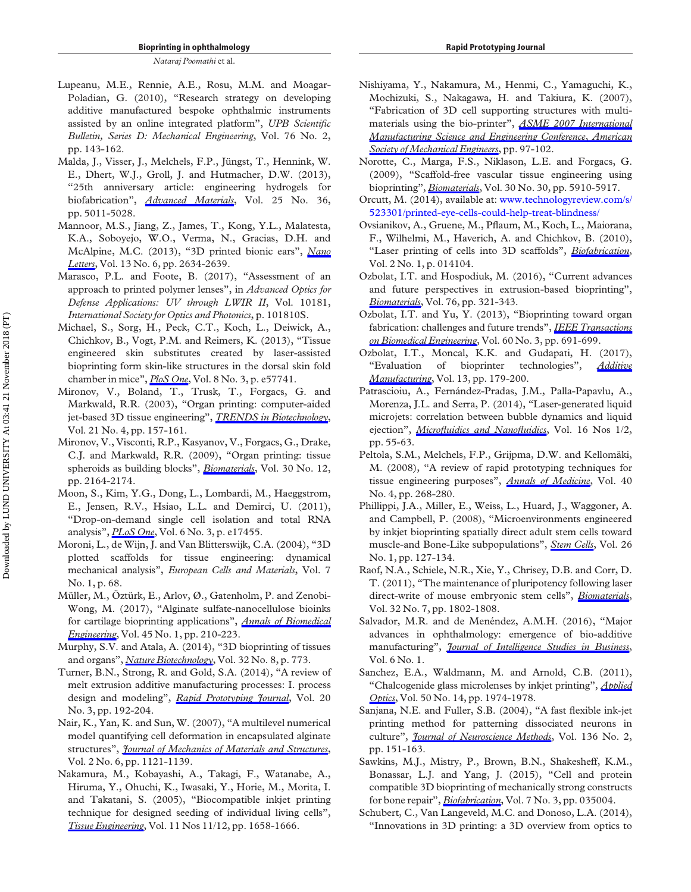- <span id="page-17-17"></span>Lupeanu, M.E., Rennie, A.E., Rosu, M.M. and Moagar-Poladian, G. (2010), "Research strategy on developing additive manufactured bespoke ophthalmic instruments assisted by an online integrated platform", UPB Scientific Bulletin, Series D: Mechanical Engineering, Vol. 76 No. 2, pp. 143-162.
- <span id="page-17-9"></span>Malda, J., Visser, J., Melchels, F.P., Jüngst, T., Hennink, W. E., Dhert, W.J., Groll, J. and Hutmacher, D.W. (2013), "25th anniversary article: engineering hydrogels for biofabrication", *[Advanced Materials](https://www.emeraldinsight.com/action/showLinks?doi=10.1108%2FRPJ-06-2018-0144&crossref=10.1002%2Fadma.201302042&isi=000327686700003&citationId=p_68)*, Vol. 25 No. 36, pp. 5011-5028.
- <span id="page-17-1"></span>Mannoor, M.S., Jiang, Z., James, T., Kong, Y.L., Malatesta, K.A., Soboyejo, W.O., Verma, N., Gracias, D.H. and McAlpine, M.C. (2013), "3D printed bionic ears", [Nano](https://www.emeraldinsight.com/action/showLinks?doi=10.1108%2FRPJ-06-2018-0144&crossref=10.1021%2Fnl4007744&isi=000320485100051&citationId=p_69) [Letters](https://www.emeraldinsight.com/action/showLinks?doi=10.1108%2FRPJ-06-2018-0144&crossref=10.1021%2Fnl4007744&isi=000320485100051&citationId=p_69), Vol. 13 No. 6, pp. 2634-2639.
- <span id="page-17-24"></span>Marasco, P.L. and Foote, B. (2017), "Assessment of an approach to printed polymer lenses", in Advanced Optics for Defense Applications: UV through LWIR II, Vol. 10181, International Society for Optics and Photonics, p. 101810S.
- <span id="page-17-21"></span>Michael, S., Sorg, H., Peck, C.T., Koch, L., Deiwick, A., Chichkov, B., Vogt, P.M. and Reimers, K. (2013), "Tissue engineered skin substitutes created by laser-assisted bioprinting form skin-like structures in the dorsal skin fold chamber in mice",  $P$ loS One, Vol. 8 No. 3, p. e57741.
- <span id="page-17-2"></span>Mironov, V., Boland, T., Trusk, T., Forgacs, G. and Markwald, R.R. (2003), "Organ printing: computer-aided jet-based 3D tissue engineering", [TRENDS in Biotechnology](https://www.emeraldinsight.com/action/showLinks?doi=10.1108%2FRPJ-06-2018-0144&crossref=10.1016%2FS0167-7799%2803%2900033-7&isi=000182339000009&citationId=p_72), Vol. 21 No. 4, pp. 157-161.
- <span id="page-17-6"></span>Mironov, V., Visconti, R.P., Kasyanov, V., Forgacs, G., Drake, C.J. and Markwald, R.R. (2009), "Organ printing: tissue spheroids as building blocks", [Biomaterials](https://www.emeraldinsight.com/action/showLinks?doi=10.1108%2FRPJ-06-2018-0144&crossref=10.1016%2Fj.biomaterials.2008.12.084&isi=000264512800002&citationId=p_73), Vol. 30 No. 12, pp. 2164-2174.
- <span id="page-17-11"></span>Moon, S., Kim, Y.G., Dong, L., Lombardi, M., Haeggstrom, E., Jensen, R.V., Hsiao, L.L. and Demirci, U. (2011), "Drop-on-demand single cell isolation and total RNA analysis", *[PLoS One](https://www.emeraldinsight.com/action/showLinks?doi=10.1108%2FRPJ-06-2018-0144&crossref=10.1371%2Fjournal.pone.0017455&isi=000288247800007&citationId=p_74)*, Vol. 6 No. 3, p. e17455.
- <span id="page-17-3"></span>Moroni, L., de Wijn, J. and Van Blitterswijk, C.A. (2004), "3D plotted scaffolds for tissue engineering: dynamical mechanical analysis", European Cells and Materials, Vol. 7 No. 1, p. 68.
- <span id="page-17-15"></span>Müller, M., Öztürk, E., Arlov, Ø., Gatenholm, P. and Zenobi-Wong, M. (2017), "Alginate sulfate-nanocellulose bioinks for cartilage bioprinting applications", *[Annals of Biomedical](https://www.emeraldinsight.com/action/showLinks?doi=10.1108%2FRPJ-06-2018-0144&crossref=10.1007%2Fs10439-016-1704-5&isi=000391923100014&citationId=p_76)* [Engineering](https://www.emeraldinsight.com/action/showLinks?doi=10.1108%2FRPJ-06-2018-0144&crossref=10.1007%2Fs10439-016-1704-5&isi=000391923100014&citationId=p_76), Vol. 45 No. 1, pp. 210-223.
- <span id="page-17-26"></span>Murphy, S.V. and Atala, A. (2014), "3D bioprinting of tissues and organs", [Nature Biotechnology](https://www.emeraldinsight.com/action/showLinks?doi=10.1108%2FRPJ-06-2018-0144&crossref=10.1038%2Fnbt.2958&isi=000346455900025&citationId=p_77), Vol. 32 No. 8, p. 773.
- <span id="page-17-4"></span>Turner, B.N., Strong, R. and Gold, S.A. (2014), "A review of melt extrusion additive manufacturing processes: I. process design and modeling", [Rapid Prototyping Journal](https://www.emeraldinsight.com/action/showLinks?doi=10.1108%2FRPJ-06-2018-0144&system=10.1108%2FRPJ-01-2013-0012&isi=000340950200003&citationId=p_78), Vol. 20 No. 3, pp. 192-204.
- <span id="page-17-19"></span>Nair, K., Yan, K. and Sun, W. (2007), "A multilevel numerical model quantifying cell deformation in encapsulated alginate structures", *[Journal of Mechanics of Materials and Structures](https://www.emeraldinsight.com/action/showLinks?doi=10.1108%2FRPJ-06-2018-0144&crossref=10.2140%2Fjomms.2007.2.1121&isi=000256406600008&citationId=p_79)*, Vol. 2 No. 6, pp. 1121-1139.
- <span id="page-17-14"></span>Nakamura, M., Kobayashi, A., Takagi, F., Watanabe, A., Hiruma, Y., Ohuchi, K., Iwasaki, Y., Horie, M., Morita, I. and Takatani, S. (2005), "Biocompatible inkjet printing technique for designed seeding of individual living cells", [Tissue Engineering](https://www.emeraldinsight.com/action/showLinks?doi=10.1108%2FRPJ-06-2018-0144&crossref=10.1089%2Ften.2005.11.1658&citationId=p_80), Vol. 11 Nos 11/12, pp. 1658-1666.
- <span id="page-17-22"></span>Nishiyama, Y., Nakamura, M., Henmi, C., Yamaguchi, K., Mochizuki, S., Nakagawa, H. and Takiura, K. (2007), "Fabrication of 3D cell supporting structures with multi-materials using the bio-printer", [ASME 2007 International](https://www.emeraldinsight.com/action/showLinks?doi=10.1108%2FRPJ-06-2018-0144&crossref=10.1115%2FMSEC2007-31064&citationId=p_81) [Manufacturing Science and Engineering Conference](https://www.emeraldinsight.com/action/showLinks?doi=10.1108%2FRPJ-06-2018-0144&crossref=10.1115%2FMSEC2007-31064&citationId=p_81), American [Society of Mechanical Engineers](https://www.emeraldinsight.com/action/showLinks?doi=10.1108%2FRPJ-06-2018-0144&crossref=10.1115%2FMSEC2007-31064&citationId=p_81), pp. 97-102.
- <span id="page-17-18"></span>Norotte, C., Marga, F.S., Niklason, L.E. and Forgacs, G. (2009), "Scaffold-free vascular tissue engineering using bioprinting", [Biomaterials](https://www.emeraldinsight.com/action/showLinks?doi=10.1108%2FRPJ-06-2018-0144&crossref=10.1016%2Fj.biomaterials.2009.06.034&isi=000270204500002&citationId=p_82), Vol. 30 No. 30, pp. 5910-5917.
- <span id="page-17-28"></span>Orcutt, M. (2014), available at: [www.technologyreview.com/s/](http://www.technologyreview.com/s/523301/printed-eye-cells-could-help-treat-blindness/) [523301/printed-eye-cells-could-help-treat-blindness/](http://www.technologyreview.com/s/523301/printed-eye-cells-could-help-treat-blindness/)
- <span id="page-17-16"></span>Ovsianikov, A., Gruene, M., Pflaum, M., Koch, L., Maiorana, F., Wilhelmi, M., Haverich, A. and Chichkov, B. (2010), "Laser printing of cells into 3D scaffolds", [Biofabrication](https://www.emeraldinsight.com/action/showLinks?doi=10.1108%2FRPJ-06-2018-0144&crossref=10.1088%2F1758-5082%2F2%2F1%2F014104&isi=000278118400005&citationId=p_84), Vol. 2 No. 1, p. 014104.
- <span id="page-17-20"></span>Ozbolat, I.T. and Hospodiuk, M. (2016), "Current advances and future perspectives in extrusion-based bioprinting", [Biomaterials](https://www.emeraldinsight.com/action/showLinks?doi=10.1108%2FRPJ-06-2018-0144&crossref=10.1016%2Fj.biomaterials.2015.10.076&isi=000366961100028&citationId=p_85), Vol. 76, pp. 321-343.
- <span id="page-17-5"></span>Ozbolat, I.T. and Yu, Y. (2013), "Bioprinting toward organ fabrication: challenges and future trends", [IEEE Transactions](https://www.emeraldinsight.com/action/showLinks?doi=10.1108%2FRPJ-06-2018-0144&crossref=10.1109%2FTBME.2013.2243912&isi=000316810900014&citationId=p_86) [on Biomedical Engineering](https://www.emeraldinsight.com/action/showLinks?doi=10.1108%2FRPJ-06-2018-0144&crossref=10.1109%2FTBME.2013.2243912&isi=000316810900014&citationId=p_86), Vol. 60 No. 3, pp. 691-699.
- <span id="page-17-29"></span>Ozbolat, I.T., Moncal, K.K. and Gudapati, H. (2017), "Evaluation of bioprinter technologies", [Additive](https://www.emeraldinsight.com/action/showLinks?doi=10.1108%2FRPJ-06-2018-0144&crossref=10.1016%2Fj.addma.2016.10.003&isi=000435751800017&citationId=p_87) [Manufacturing](https://www.emeraldinsight.com/action/showLinks?doi=10.1108%2FRPJ-06-2018-0144&crossref=10.1016%2Fj.addma.2016.10.003&isi=000435751800017&citationId=p_87), Vol. 13, pp. 179-200.
- <span id="page-17-23"></span>Patrascioiu, A., Fernández-Pradas, J.M., Palla-Papavlu, A., Morenza, J.L. and Serra, P. (2014), "Laser-generated liquid microjets: correlation between bubble dynamics and liquid ejection", *Microfl[uidics and Nano](https://www.emeraldinsight.com/action/showLinks?doi=10.1108%2FRPJ-06-2018-0144&crossref=10.1007%2Fs10404-013-1218-5&isi=000329406900006&citationId=p_88)fluidics*, Vol. 16 Nos 1/2, pp. 55-63.
- <span id="page-17-7"></span>Peltola, S.M., Melchels, F.P., Grijpma, D.W. and Kellomäki, M. (2008), "A review of rapid prototyping techniques for tissue engineering purposes", *[Annals of Medicine](https://www.emeraldinsight.com/action/showLinks?doi=10.1108%2FRPJ-06-2018-0144&crossref=10.1080%2F07853890701881788&isi=000255221200003&citationId=p_89)*, Vol. 40 No. 4, pp. 268-280.
- <span id="page-17-13"></span>Phillippi, J.A., Miller, E., Weiss, L., Huard, J., Waggoner, A. and Campbell, P. (2008), "Microenvironments engineered by inkjet bioprinting spatially direct adult stem cells toward muscle-and Bone-Like subpopulations", [Stem Cells](https://www.emeraldinsight.com/action/showLinks?doi=10.1108%2FRPJ-06-2018-0144&crossref=10.1634%2Fstemcells.2007-0520&isi=000252302500015&citationId=p_90), Vol. 26 No. 1, pp. 127-134.
- <span id="page-17-10"></span>Raof, N.A., Schiele, N.R., Xie, Y., Chrisey, D.B. and Corr, D. T. (2011), "The maintenance of pluripotency following laser direct-write of mouse embryonic stem cells", *[Biomaterials](https://www.emeraldinsight.com/action/showLinks?doi=10.1108%2FRPJ-06-2018-0144&crossref=10.1016%2Fj.biomaterials.2010.11.015&isi=000287069400005&citationId=p_91)*, Vol. 32 No. 7, pp. 1802-1808.
- <span id="page-17-25"></span>Salvador, M.R. and de Menéndez, A.M.H. (2016), "Major advances in ophthalmology: emergence of bio-additive manufacturing", *[Journal of Intelligence Studies in Business](https://www.emeraldinsight.com/action/showLinks?doi=10.1108%2FRPJ-06-2018-0144&isi=000382943100006&citationId=p_92)*, Vol. 6 No. 1.
- <span id="page-17-8"></span>Sanchez, E.A., Waldmann, M. and Arnold, C.B. (2011), "Chalcogenide glass microlenses by inkjet printing", *[Applied](https://www.emeraldinsight.com/action/showLinks?doi=10.1108%2FRPJ-06-2018-0144&crossref=10.1364%2FAO.50.001974&isi=000290431000002&citationId=p_93)* [Optics](https://www.emeraldinsight.com/action/showLinks?doi=10.1108%2FRPJ-06-2018-0144&crossref=10.1364%2FAO.50.001974&isi=000290431000002&citationId=p_93), Vol. 50 No. 14, pp. 1974-1978.
- <span id="page-17-27"></span>Sanjana, N.E. and Fuller, S.B. (2004), "A fast flexible ink-jet printing method for patterning dissociated neurons in culture", *[Journal of Neuroscience Methods](https://www.emeraldinsight.com/action/showLinks?doi=10.1108%2FRPJ-06-2018-0144&crossref=10.1016%2Fj.jneumeth.2004.01.011&isi=000222220900005&citationId=p_94)*, Vol. 136 No. 2, pp. 151-163.
- <span id="page-17-12"></span>Sawkins, M.J., Mistry, P., Brown, B.N., Shakesheff, K.M., Bonassar, L.J. and Yang, J. (2015), "Cell and protein compatible 3D bioprinting of mechanically strong constructs for bone repair", *[Biofabrication](https://www.emeraldinsight.com/action/showLinks?doi=10.1108%2FRPJ-06-2018-0144&crossref=10.1088%2F1758-5090%2F7%2F3%2F035004&isi=000366460800007&citationId=p_95)*, Vol. 7 No. 3, pp. 035004.
- <span id="page-17-0"></span>Schubert, C., Van Langeveld, M.C. and Donoso, L.A. (2014), "Innovations in 3D printing: a 3D overview from optics to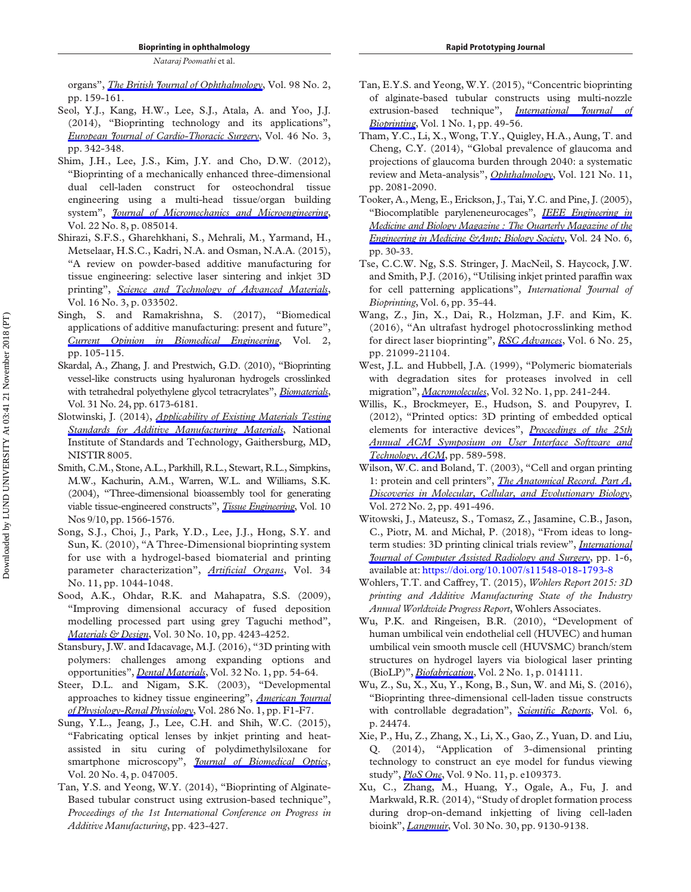organs", *[The British Journal of Ophthalmology](https://www.emeraldinsight.com/action/showLinks?doi=10.1108%2FRPJ-06-2018-0144&crossref=10.1136%2Fbjophthalmol-2013-304446&isi=000330069300005&citationId=p_96)*, Vol. 98 No. 2, pp. 159-161.

- <span id="page-18-4"></span>Seol, Y.J., Kang, H.W., Lee, S.J., Atala, A. and Yoo, J.J. (2014), "Bioprinting technology and its applications", [European Journal of Cardio-Thoracic Surgery](https://www.emeraldinsight.com/action/showLinks?doi=10.1108%2FRPJ-06-2018-0144&crossref=10.1093%2Fejcts%2Fezu148&isi=000344968400004&citationId=p_97), Vol. 46 No. 3, pp. 342-348.
- <span id="page-18-6"></span>Shim, J.H., Lee, J.S., Kim, J.Y. and Cho, D.W. (2012), "Bioprinting of a mechanically enhanced three-dimensional dual cell-laden construct for osteochondral tissue engineering using a multi-head tissue/organ building system", *[Journal of Micromechanics and Microengineering](https://www.emeraldinsight.com/action/showLinks?doi=10.1108%2FRPJ-06-2018-0144&crossref=10.1088%2F0960-1317%2F22%2F8%2F085014&isi=000306649000014&citationId=p_98)*, Vol. 22 No. 8, p. 085014.
- <span id="page-18-7"></span>Shirazi, S.F.S., Gharehkhani, S., Mehrali, M., Yarmand, H., Metselaar, H.S.C., Kadri, N.A. and Osman, N.A.A. (2015), "A review on powder-based additive manufacturing for tissue engineering: selective laser sintering and inkjet 3D printing", [Science and Technology of Advanced Materials](https://www.emeraldinsight.com/action/showLinks?doi=10.1108%2FRPJ-06-2018-0144&crossref=10.1088%2F1468-6996%2F16%2F3%2F033502&isi=000357424000003&citationId=p_99), Vol. 16 No. 3, p. 033502.
- <span id="page-18-8"></span>Singh, S. and Ramakrishna, S. (2017), "Biomedical applications of additive manufacturing: present and future", [Current Opinion in Biomedical Engineering](https://www.emeraldinsight.com/action/showLinks?doi=10.1108%2FRPJ-06-2018-0144&crossref=10.1016%2Fj.cobme.2017.05.006&citationId=p_100), Vol. 2, pp. 105-115.
- <span id="page-18-18"></span>Skardal, A., Zhang, J. and Prestwich, G.D. (2010), "Bioprinting vessel-like constructs using hyaluronan hydrogels crosslinked with tetrahedral polyethylene glycol tetracrylates", [Biomaterials](https://www.emeraldinsight.com/action/showLinks?doi=10.1108%2FRPJ-06-2018-0144&crossref=10.1016%2Fj.biomaterials.2010.04.045&isi=000279616200006&citationId=p_101), Vol. 31 No. 24, pp. 6173-6181.
- <span id="page-18-2"></span>Slotwinski, J. (2014), *[Applicability of Existing Materials Testing](https://www.emeraldinsight.com/action/showLinks?doi=10.1108%2FRPJ-06-2018-0144&crossref=10.6028%2FNIST.IR.8005&citationId=p_102)* [Standards for Additive Manufacturing Materials](https://www.emeraldinsight.com/action/showLinks?doi=10.1108%2FRPJ-06-2018-0144&crossref=10.6028%2FNIST.IR.8005&citationId=p_102), National Institute of Standards and Technology, Gaithersburg, MD, NISTIR 8005.
- <span id="page-18-20"></span>Smith, C.M., Stone, A.L., Parkhill, R.L., Stewart, R.L., Simpkins, M.W., Kachurin, A.M., Warren, W.L. and Williams, S.K. (2004), "Three-dimensional bioassembly tool for generating viable tissue-engineered constructs", [Tissue Engineering](https://www.emeraldinsight.com/action/showLinks?doi=10.1108%2FRPJ-06-2018-0144&crossref=10.1089%2Ften.2004.10.1566&citationId=p_103), Vol. 10 Nos 9/10, pp. 1566-1576.
- <span id="page-18-5"></span>Song, S.J., Choi, J., Park, Y.D., Lee, J.J., Hong, S.Y. and Sun, K. (2010), "A Three-Dimensional bioprinting system for use with a hydrogel-based biomaterial and printing parameter characterization", Artifi[cial Organs](https://www.emeraldinsight.com/action/showLinks?doi=10.1108%2FRPJ-06-2018-0144&crossref=10.1111%2Fj.1525-1594.2010.01143.x&isi=000284588300030&citationId=p_104), Vol. 34 No. 11, pp. 1044-1048.
- <span id="page-18-3"></span>Sood, A.K., Ohdar, R.K. and Mahapatra, S.S. (2009), "Improving dimensional accuracy of fused deposition modelling processed part using grey Taguchi method", [Materials & Design](https://www.emeraldinsight.com/action/showLinks?doi=10.1108%2FRPJ-06-2018-0144&crossref=10.1016%2Fj.matdes.2009.04.030&isi=000268453500036&citationId=p_105), Vol. 30 No. 10, pp. 4243-4252.
- <span id="page-18-0"></span>Stansbury, J.W. and Idacavage, M.J. (2016), "3D printing with polymers: challenges among expanding options and opportunities", [Dental Materials](https://www.emeraldinsight.com/action/showLinks?doi=10.1108%2FRPJ-06-2018-0144&crossref=10.1016%2Fj.dental.2015.09.018&isi=000370808200007&citationId=p_106), Vol. 32 No. 1, pp. 54-64.
- <span id="page-18-9"></span>Steer, D.L. and Nigam, S.K. (2003), "Developmental approaches to kidney tissue engineering", *[American Journal](https://www.emeraldinsight.com/action/showLinks?doi=10.1108%2FRPJ-06-2018-0144&crossref=10.1152%2Fajprenal.00167.2003&isi=000186948600001&citationId=p_107)* [of Physiology-Renal Physiology](https://www.emeraldinsight.com/action/showLinks?doi=10.1108%2FRPJ-06-2018-0144&crossref=10.1152%2Fajprenal.00167.2003&isi=000186948600001&citationId=p_107), Vol. 286 No. 1, pp. F1-F7.
- <span id="page-18-11"></span>Sung, Y.L., Jeang, J., Lee, C.H. and Shih, W.C. (2015), "Fabricating optical lenses by inkjet printing and heatassisted in situ curing of polydimethylsiloxane for smartphone microscopy", *[Journal of Biomedical Optics](https://www.emeraldinsight.com/action/showLinks?doi=10.1108%2FRPJ-06-2018-0144&crossref=10.1117%2F1.JBO.20.4.047005&isi=000355282800028&citationId=p_108)*, Vol. 20 No. 4, p. 047005.
- <span id="page-18-16"></span>Tan, Y.S. and Yeong, W.Y. (2014), "Bioprinting of Alginate-Based tubular construct using extrusion-based technique", Proceedings of the 1st International Conference on Progress in Additive Manufacturing, pp. 423-427.
- <span id="page-18-17"></span>Tan, E.Y.S. and Yeong, W.Y. (2015), "Concentric bioprinting of alginate-based tubular constructs using multi-nozzle extrusion-based technique", [International Journal of](https://www.emeraldinsight.com/action/showLinks?doi=10.1108%2FRPJ-06-2018-0144&isi=000409601100006&citationId=p_110) *[Bioprinting](https://www.emeraldinsight.com/action/showLinks?doi=10.1108%2FRPJ-06-2018-0144&isi=000409601100006&citationId=p_110)*, Vol. 1 No. 1, pp. 49-56.
- <span id="page-18-26"></span>Tham, Y.C., Li, X., Wong, T.Y., Quigley, H.A., Aung, T. and Cheng, C.Y. (2014), "Global prevalence of glaucoma and projections of glaucoma burden through 2040: a systematic review and Meta-analysis", [Ophthalmology](https://www.emeraldinsight.com/action/showLinks?doi=10.1108%2FRPJ-06-2018-0144&crossref=10.1016%2Fj.ophtha.2014.05.013&isi=000344480400011&citationId=p_111), Vol. 121 No. 11, pp. 2081-2090.
- <span id="page-18-24"></span>Tooker, A., Meng, E., Erickson, J., Tai, Y.C. and Pine, J. (2005), "Biocomplatible paryleneneurocages", [IEEE Engineering in](https://www.emeraldinsight.com/action/showLinks?doi=10.1108%2FRPJ-06-2018-0144&crossref=10.1109%2FMEMB.2005.1549727&citationId=p_112) [Medicine and Biology Magazine : The Quarterly Magazine of the](https://www.emeraldinsight.com/action/showLinks?doi=10.1108%2FRPJ-06-2018-0144&crossref=10.1109%2FMEMB.2005.1549727&citationId=p_112) Engineering in Medicine & Amp; Biology Society, Vol. 24 No. 6, pp. 30-33.
- <span id="page-18-15"></span>Tse, C.C.W. Ng, S.S. Stringer, J. MacNeil, S. Haycock, J.W. and Smith, P.J. (2016), "Utilising inkjet printed paraffin wax for cell patterning applications", International Journal of Bioprinting, Vol. 6, pp. 35-44.
- <span id="page-18-19"></span>Wang, Z., Jin, X., Dai, R., Holzman, J.F. and Kim, K. (2016), "An ultrafast hydrogel photocrosslinking method for direct laser bioprinting", [RSC Advances](https://www.emeraldinsight.com/action/showLinks?doi=10.1108%2FRPJ-06-2018-0144&crossref=10.1039%2FC5RA24910D&isi=000371019000079&citationId=p_114), Vol. 6 No. 25, pp. 21099-21104.
- <span id="page-18-22"></span>West, J.L. and Hubbell, J.A. (1999), "Polymeric biomaterials with degradation sites for proteases involved in cell migration", [Macromolecules](https://www.emeraldinsight.com/action/showLinks?doi=10.1108%2FRPJ-06-2018-0144&crossref=10.1021%2Fma981296k&isi=000078475700035&citationId=p_115), Vol. 32 No. 1, pp. 241-244.
- <span id="page-18-23"></span>Willis, K., Brockmeyer, E., Hudson, S. and Poupyrev, I. (2012), "Printed optics: 3D printing of embedded optical elements for interactive devices", [Proceedings of the 25th](https://www.emeraldinsight.com/action/showLinks?doi=10.1108%2FRPJ-06-2018-0144&crossref=10.1145%2F2380116.2380190&citationId=p_116) [Annual ACM Symposium on User Interface Software and](https://www.emeraldinsight.com/action/showLinks?doi=10.1108%2FRPJ-06-2018-0144&crossref=10.1145%2F2380116.2380190&citationId=p_116) [Technology, ACM](https://www.emeraldinsight.com/action/showLinks?doi=10.1108%2FRPJ-06-2018-0144&crossref=10.1145%2F2380116.2380190&citationId=p_116), pp. 589-598.
- <span id="page-18-10"></span>Wilson, W.C. and Boland, T. (2003), "Cell and organ printing 1: protein and cell printers", *The Anatomical Record. Part A*, [Discoveries in Molecular, Cellular, and Evolutionary Biology](https://www.emeraldinsight.com/action/showLinks?doi=10.1108%2FRPJ-06-2018-0144&crossref=10.1002%2Far.a.10057&citationId=p_117), Vol. 272 No. 2, pp. 491-496.
- <span id="page-18-21"></span>Witowski, J., Mateusz, S., Tomasz, Z., Jasamine, C.B., Jason, C., Piotr, M. and Michał, P. (2018), "From ideas to longterm studies: 3D printing clinical trials review", *[International](https://www.emeraldinsight.com/action/showLinks?doi=10.1108%2FRPJ-06-2018-0144&isi=000443849200016&citationId=p_118)* **[Journal of Computer Assisted Radiology and Surgery](https://www.emeraldinsight.com/action/showLinks?doi=10.1108%2FRPJ-06-2018-0144&isi=000443849200016&citationId=p_118), pp. 1-6,** available at: <https://doi.org/10.1007/s11548-018-1793-8>
- <span id="page-18-1"></span>Wohlers, T.T. and Caffrey, T. (2015), Wohlers Report 2015: 3D printing and Additive Manufacturing State of the Industry Annual Worldwide Progress Report, Wohlers Associates.
- <span id="page-18-13"></span>Wu, P.K. and Ringeisen, B.R. (2010), "Development of human umbilical vein endothelial cell (HUVEC) and human umbilical vein smooth muscle cell (HUVSMC) branch/stem structures on hydrogel layers via biological laser printing (BioLP)", *[Biofabrication](https://www.emeraldinsight.com/action/showLinks?doi=10.1108%2FRPJ-06-2018-0144&crossref=10.1088%2F1758-5082%2F2%2F1%2F014111&isi=000278118400012&citationId=p_120)*, Vol. 2 No. 1, p. 014111.
- <span id="page-18-12"></span>Wu, Z., Su, X., Xu, Y., Kong, B., Sun, W. and Mi, S. (2016), "Bioprinting three-dimensional cell-laden tissue constructs with controllable degradation", Scientifi[c Reports](https://www.emeraldinsight.com/action/showLinks?doi=10.1108%2FRPJ-06-2018-0144&crossref=10.1038%2Fsrep24474&isi=000374353000001&citationId=p_121), Vol. 6, p. 24474.
- <span id="page-18-25"></span>Xie, P., Hu, Z., Zhang, X., Li, X., Gao, Z., Yuan, D. and Liu, Q. (2014), "Application of 3-dimensional printing technology to construct an eye model for fundus viewing study", *[PloS One](https://www.emeraldinsight.com/action/showLinks?doi=10.1108%2FRPJ-06-2018-0144&crossref=10.1371%2Fjournal.pone.0109373&isi=000347709300003&citationId=p_122)*, Vol. 9 No. 11, p. e109373.
- <span id="page-18-14"></span>Xu, C., Zhang, M., Huang, Y., Ogale, A., Fu, J. and Markwald, R.R. (2014), "Study of droplet formation process during drop-on-demand inkjetting of living cell-laden bioink", *[Langmuir](https://www.emeraldinsight.com/action/showLinks?doi=10.1108%2FRPJ-06-2018-0144&crossref=10.1021%2Fla501430x&isi=000340079200016&citationId=p_123)*, Vol. 30 No. 30, pp. 9130-9138.